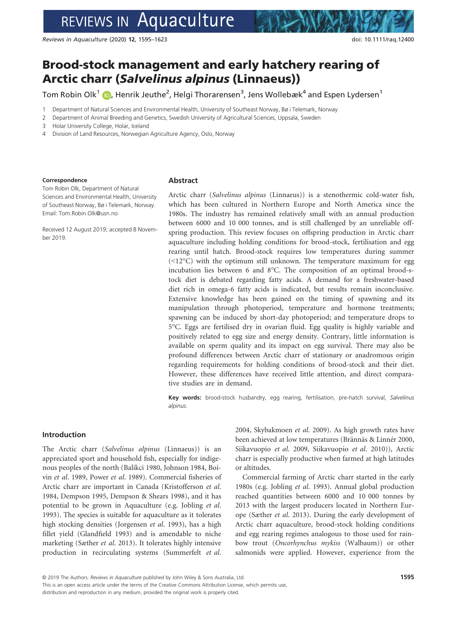# REVIEWS IN Aquaculture

Reviews in Aquaculture (2020) 12, 1595–1623 doi: 10.1111/raq.12400

# Brood-stock management and early hatchery rearing of Arctic charr (Salvelinus alpinus (Linnaeus))

Tom Robin Olk<sup>1</sup> (D, Henrik Jeuthe<sup>2</sup>, Helgi Thorarensen<sup>3</sup>, Jens Wollebæk<sup>4</sup> and Espen Lydersen<sup>1</sup>

1 Department of Natural Sciences and Environmental Health, University of Southeast Norway, Bø i Telemark, Norway

2 Department of Animal Breeding and Genetics, Swedish University of Agricultural Sciences, Uppsala, Sweden

3 Holar University College, Holar, Iceland

4 Division of Land Resources, Norwegian Agriculture Agency, Oslo, Norway

#### Correspondence

Tom Robin Olk, Department of Natural Sciences and Environmental Health, University of Southeast Norway, Bø i Telemark, Norway. Email: [Tom.Robin.Olk@usn.no](mailto:)

Received 12 August 2019; accepted 8 November 2019.

### Abstract

Arctic charr (Salvelinus alpinus (Linnaeus)) is a stenothermic cold-water fish, which has been cultured in Northern Europe and North America since the 1980s. The industry has remained relatively small with an annual production between 6000 and 10 000 tonnes, and is still challenged by an unreliable offspring production. This review focuses on offspring production in Arctic charr aquaculture including holding conditions for brood-stock, fertilisation and egg rearing until hatch. Brood-stock requires low temperatures during summer  $(\leq 12^{\circ}C)$  with the optimum still unknown. The temperature maximum for egg incubation lies between 6 and 8°C. The composition of an optimal brood-stock diet is debated regarding fatty acids. A demand for a freshwater-based diet rich in omega-6 fatty acids is indicated, but results remain inconclusive. Extensive knowledge has been gained on the timing of spawning and its manipulation through photoperiod, temperature and hormone treatments; spawning can be induced by short-day photoperiod; and temperature drops to 5°C. Eggs are fertilised dry in ovarian fluid. Egg quality is highly variable and positively related to egg size and energy density. Contrary, little information is available on sperm quality and its impact on egg survival. There may also be profound differences between Arctic charr of stationary or anadromous origin regarding requirements for holding conditions of brood-stock and their diet. However, these differences have received little attention, and direct comparative studies are in demand.

Key words: brood-stock husbandry, egg rearing, fertilisation, pre-hatch survival, Salvelinus alpinus.

### Introduction

The Arctic charr (Salvelinus alpinus (Linnaeus)) is an appreciated sport and household fish, especially for indigenous peoples of the north (Balikci 1980, Johnson 1984, Boivin et al. 1989, Power et al. 1989). Commercial fisheries of Arctic charr are important in Canada (Kristofferson et al. 1984, Dempson 1995, Dempson & Shears 1998), and it has potential to be grown in Aquaculture (e.g. Jobling et al. 1993). The species is suitable for aquaculture as it tolerates high stocking densities (Jorgensen et al. 1993), has a high fillet yield (Glandfield 1993) and is amendable to niche marketing (Sæther et al. 2013). It tolerates highly intensive production in recirculating systems (Summerfelt et al.

2004, Skybakmoen et al. 2009). As high growth rates have been achieved at low temperatures (Brännäs & Linnér 2000, Siikavuopio et al. 2009, Siikavuopio et al. 2010)), Arctic charr is especially productive when farmed at high latitudes or altitudes.

Commercial farming of Arctic charr started in the early 1980s (e.g. Jobling et al. 1993). Annual global production reached quantities between 6000 and 10 000 tonnes by 2013 with the largest producers located in Northern Europe (Sæther et al. 2013). During the early development of Arctic charr aquaculture, brood-stock holding conditions and egg rearing regimes analogous to those used for rainbow trout (Oncorhynchus mykiss (Walbaum)) or other salmonids were applied. However, experience from the

distribution and reproduction in any medium, provided the original work is properly cited.

This is an open access article under the terms of the Creative Commons Attribution License, which permits use,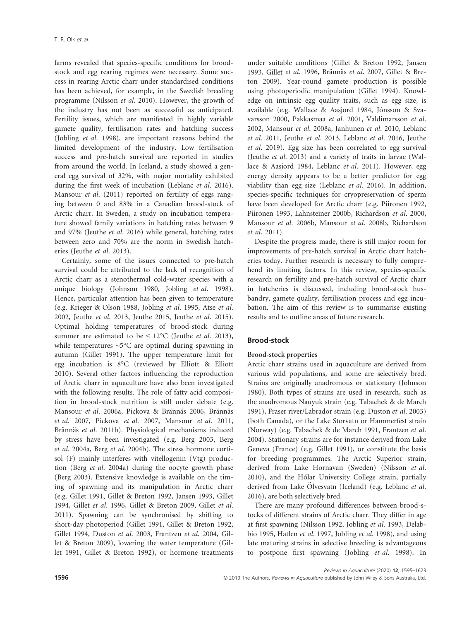farms revealed that species-specific conditions for broodstock and egg rearing regimes were necessary. Some success in rearing Arctic charr under standardised conditions has been achieved, for example, in the Swedish breeding programme (Nilsson et al. 2010). However, the growth of the industry has not been as successful as anticipated. Fertility issues, which are manifested in highly variable gamete quality, fertilisation rates and hatching success (Jobling et al. 1998), are important reasons behind the limited development of the industry. Low fertilisation success and pre-hatch survival are reported in studies from around the world. In Iceland, a study showed a general egg survival of 32%, with major mortality exhibited during the first week of incubation (Leblanc et al. 2016). Mansour *et al.* (2011) reported on fertility of eggs ranging between 0 and 83% in a Canadian brood-stock of Arctic charr. In Sweden, a study on incubation temperature showed family variations in hatching rates between 9 and 97% (Jeuthe et al. 2016) while general, hatching rates between zero and 70% are the norm in Swedish hatcheries (Jeuthe et al. 2013).

Certainly, some of the issues connected to pre-hatch survival could be attributed to the lack of recognition of Arctic charr as a stenothermal cold-water species with a unique biology (Johnson 1980, Jobling et al. 1998). Hence, particular attention has been given to temperature (e.g. Krieger & Olson 1988, Jobling et al. 1995, Atse et al. 2002, Jeuthe et al. 2013, Jeuthe 2015, Jeuthe et al. 2015). Optimal holding temperatures of brood-stock during summer are estimated to be <  $12^{\circ}$ C (Jeuthe *et al.* 2013), while temperatures  $\sim5^{\circ}$ C are optimal during spawning in autumn (Gillet 1991). The upper temperature limit for egg incubation is 8°C (reviewed by Elliott & Elliott 2010). Several other factors influencing the reproduction of Arctic charr in aquaculture have also been investigated with the following results. The role of fatty acid composition in brood-stock nutrition is still under debate (e.g. Mansour et al. 2006a, Pickova & Brännäs 2006, Brännäs et al. 2007, Pickova et al. 2007, Mansour et al. 2011, Brännäs et al. 2011b). Physiological mechanisms induced by stress have been investigated (e.g. Berg 2003, Berg et al. 2004a, Berg et al. 2004b). The stress hormone cortisol (F) mainly interferes with vitellogenin (Vtg) production (Berg et al. 2004a) during the oocyte growth phase (Berg 2003). Extensive knowledge is available on the timing of spawning and its manipulation in Arctic charr (e.g. Gillet 1991, Gillet & Breton 1992, Jansen 1993, Gillet 1994, Gillet et al. 1996, Gillet & Breton 2009, Gillet et al. 2011). Spawning can be synchronised by shifting to short-day photoperiod (Gillet 1991, Gillet & Breton 1992, Gillet 1994, Duston et al. 2003, Frantzen et al. 2004, Gillet & Breton 2009), lowering the water temperature (Gillet 1991, Gillet & Breton 1992), or hormone treatments under suitable conditions (Gillet & Breton 1992, Jansen 1993, Gillet et al. 1996, Brännäs et al. 2007, Gillet & Breton 2009). Year-round gamete production is possible using photoperiodic manipulation (Gillet 1994). Knowledge on intrinsic egg quality traits, such as egg size, is available (e.g. Wallace & Aasjord 1984, Jónsson & Svavarsson 2000, Pakkasmaa et al. 2001, Valdimarsson et al. 2002, Mansour et al. 2008a, Janhunen et al. 2010, Leblanc et al. 2011, Jeuthe et al. 2013, Leblanc et al. 2016, Jeuthe et al. 2019). Egg size has been correlated to egg survival (Jeuthe et al. 2013) and a variety of traits in larvae (Wallace & Aasjord 1984, Leblanc et al. 2011). However, egg energy density appears to be a better predictor for egg viability than egg size (Leblanc et al. 2016). In addition, species-specific techniques for cryopreservation of sperm have been developed for Arctic charr (e.g. Piironen 1992, Piironen 1993, Lahnsteiner 2000b, Richardson et al. 2000, Mansour et al. 2006b, Mansour et al. 2008b, Richardson et al. 2011).

Despite the progress made, there is still major room for improvements of pre-hatch survival in Arctic charr hatcheries today. Further research is necessary to fully comprehend its limiting factors. In this review, species-specific research on fertility and pre-hatch survival of Arctic charr in hatcheries is discussed, including brood-stock husbandry, gamete quality, fertilisation process and egg incubation. The aim of this review is to summarise existing results and to outline areas of future research.

# Brood-stock

# Brood-stock properties

Arctic charr strains used in aquaculture are derived from various wild populations, and some are selectively bred. Strains are originally anadromous or stationary (Johnson 1980). Both types of strains are used in research, such as the anadromous Nauyuk strain (e.g. Tabachek & de March 1991), Fraser river/Labrador strain (e.g. Duston et al. 2003) (both Canada), or the Lake Storvatn or Hammerfest strain (Norway) (e.g. Tabachek & de March 1991, Frantzen et al. 2004). Stationary strains are for instance derived from Lake Geneva (France) (e.g. Gillet 1991), or constitute the basis for breeding programmes. The Arctic Superior strain, derived from Lake Hornavan (Sweden) (Nilsson et al. 2010), and the Hólar University College strain, partially derived from Lake Ölvesvatn (Iceland) (e.g. Leblanc et al. 2016), are both selectively bred.

There are many profound differences between brood-stocks of different strains of Arctic charr. They differ in age at first spawning (Nilsson 1992, Jobling et al. 1993, Delabbio 1995, Hatlen et al. 1997, Jobling et al. 1998), and using late maturing strains in selective breeding is advantageous to postpone first spawning (Jobling et al. 1998). In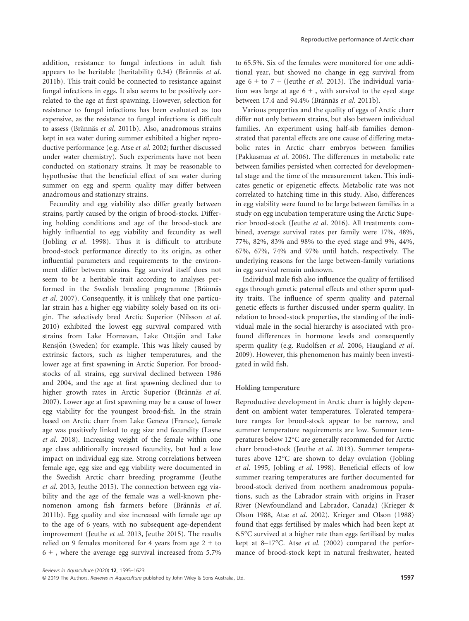addition, resistance to fungal infections in adult fish appears to be heritable (heritability  $0.34$ ) (Brännäs et al. 2011b). This trait could be connected to resistance against fungal infections in eggs. It also seems to be positively correlated to the age at first spawning. However, selection for resistance to fungal infections has been evaluated as too expensive, as the resistance to fungal infections is difficult to assess (Brännäs et al. 2011b). Also, anadromous strains kept in sea water during summer exhibited a higher reproductive performance (e.g. Atse et al. 2002; further discussed under water chemistry). Such experiments have not been conducted on stationary strains. It may be reasonable to hypothesise that the beneficial effect of sea water during summer on egg and sperm quality may differ between anadromous and stationary strains.

Fecundity and egg viability also differ greatly between strains, partly caused by the origin of brood-stocks. Differing holding conditions and age of the brood-stock are highly influential to egg viability and fecundity as well (Jobling et al. 1998). Thus it is difficult to attribute brood-stock performance directly to its origin, as other influential parameters and requirements to the environment differ between strains. Egg survival itself does not seem to be a heritable trait according to analyses performed in the Swedish breeding programme (Brännäs et al. 2007). Consequently, it is unlikely that one particular strain has a higher egg viability solely based on its origin. The selectively bred Arctic Superior (Nilsson et al. 2010) exhibited the lowest egg survival compared with strains from Lake Hornavan, Lake Ottsjön and Lake Rensjön (Sweden) for example. This was likely caused by extrinsic factors, such as higher temperatures, and the lower age at first spawning in Arctic Superior. For broodstocks of all strains, egg survival declined between 1986 and 2004, and the age at first spawning declined due to higher growth rates in Arctic Superior (Brännäs et al. 2007). Lower age at first spawning may be a cause of lower egg viability for the youngest brood-fish. In the strain based on Arctic charr from Lake Geneva (France), female age was positively linked to egg size and fecundity (Lasne et al. 2018). Increasing weight of the female within one age class additionally increased fecundity, but had a low impact on individual egg size. Strong correlations between female age, egg size and egg viability were documented in the Swedish Arctic charr breeding programme (Jeuthe et al. 2013, Jeuthe 2015). The connection between egg viability and the age of the female was a well-known phenomenon among fish farmers before (Brännäs et al. 2011b). Egg quality and size increased with female age up to the age of 6 years, with no subsequent age-dependent improvement (Jeuthe et al. 2013, Jeuthe 2015). The results relied on 9 females monitored for 4 years from age  $2 +$  to  $6 +$ , where the average egg survival increased from 5.7%

to 65.5%. Six of the females were monitored for one additional year, but showed no change in egg survival from age  $6 +$  to  $7 +$  (Jeuthe *et al.* 2013). The individual variation was large at age  $6 +$ , with survival to the eyed stage between 17.4 and 94.4% (Brännäs et al. 2011b).

Various properties and the quality of eggs of Arctic charr differ not only between strains, but also between individual families. An experiment using half-sib families demonstrated that parental effects are one cause of differing metabolic rates in Arctic charr embryos between families (Pakkasmaa et al. 2006). The differences in metabolic rate between families persisted when corrected for developmental stage and the time of the measurement taken. This indicates genetic or epigenetic effects. Metabolic rate was not correlated to hatching time in this study. Also, differences in egg viability were found to be large between families in a study on egg incubation temperature using the Arctic Superior brood-stock (Jeuthe et al. 2016). All treatments combined, average survival rates per family were 17%, 48%, 77%, 82%, 83% and 98% to the eyed stage and 9%, 44%, 67%, 67%, 74% and 97% until hatch, respectively. The underlying reasons for the large between-family variations in egg survival remain unknown.

Individual male fish also influence the quality of fertilised eggs through genetic paternal effects and other sperm quality traits. The influence of sperm quality and paternal genetic effects is further discussed under sperm quality. In relation to brood-stock properties, the standing of the individual male in the social hierarchy is associated with profound differences in hormone levels and consequently sperm quality (e.g. Rudolfsen et al. 2006, Haugland et al. 2009). However, this phenomenon has mainly been investigated in wild fish.

#### Holding temperature

Reproductive development in Arctic charr is highly dependent on ambient water temperatures. Tolerated temperature ranges for brood-stock appear to be narrow, and summer temperature requirements are low. Summer temperatures below 12°C are generally recommended for Arctic charr brood-stock (Jeuthe et al. 2013). Summer temperatures above 12°C are shown to delay ovulation (Jobling et al. 1995, Jobling et al. 1998). Beneficial effects of low summer rearing temperatures are further documented for brood-stock derived from northern anadromous populations, such as the Labrador strain with origins in Fraser River (Newfoundland and Labrador, Canada) (Krieger & Olson 1988, Atse et al. 2002). Krieger and Olson (1988) found that eggs fertilised by males which had been kept at 6.5°C survived at a higher rate than eggs fertilised by males kept at 8–17°C. Atse et al. (2002) compared the performance of brood-stock kept in natural freshwater, heated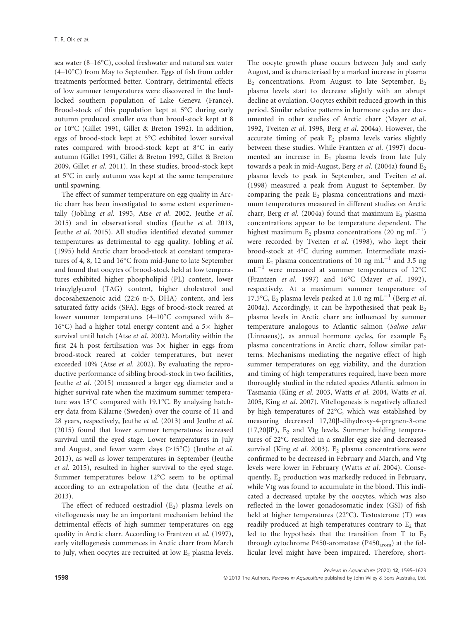sea water (8–16°C), cooled freshwater and natural sea water  $(4-10\degree C)$  from May to September. Eggs of fish from colder treatments performed better. Contrary, detrimental effects of low summer temperatures were discovered in the landlocked southern population of Lake Geneva (France). Brood-stock of this population kept at 5°C during early autumn produced smaller ova than brood-stock kept at 8 or 10°C (Gillet 1991, Gillet & Breton 1992). In addition, eggs of brood-stock kept at 5°C exhibited lower survival rates compared with brood-stock kept at 8°C in early autumn (Gillet 1991, Gillet & Breton 1992, Gillet & Breton 2009, Gillet et al. 2011). In these studies, brood-stock kept at 5°C in early autumn was kept at the same temperature until spawning.

The effect of summer temperature on egg quality in Arctic charr has been investigated to some extent experimentally (Jobling et al. 1995, Atse et al. 2002, Jeuthe et al. 2015) and in observational studies (Jeuthe et al. 2013, Jeuthe et al. 2015). All studies identified elevated summer temperatures as detrimental to egg quality. Jobling et al. (1995) held Arctic charr brood-stock at constant temperatures of 4, 8, 12 and 16°C from mid-June to late September and found that oocytes of brood-stock held at low temperatures exhibited higher phospholipid (PL) content, lower triacylglycerol (TAG) content, higher cholesterol and docosahexaenoic acid (22:6 n-3, DHA) content, and less saturated fatty acids (SFA). Eggs of brood-stock reared at lower summer temperatures (4–10°C compared with 8– 16 $^{\circ}$ C) had a higher total energy content and a 5 $\times$  higher survival until hatch (Atse et al. 2002). Mortality within the first 24 h post fertilisation was  $3 \times$  higher in eggs from brood-stock reared at colder temperatures, but never exceeded 10% (Atse et al. 2002). By evaluating the reproductive performance of sibling brood-stock in two facilities, Jeuthe et al. (2015) measured a larger egg diameter and a higher survival rate when the maximum summer temperature was 15°C compared with 19.1°C. By analysing hatchery data from Kälarne (Sweden) over the course of 11 and 28 years, respectively, Jeuthe et al. (2013) and Jeuthe et al. (2015) found that lower summer temperatures increased survival until the eyed stage. Lower temperatures in July and August, and fewer warm days (>15°C) (Jeuthe et al. 2013), as well as lower temperatures in September (Jeuthe et al. 2015), resulted in higher survival to the eyed stage. Summer temperatures below 12°C seem to be optimal according to an extrapolation of the data (Jeuthe et al. 2013).

The effect of reduced oestradiol  $(E_2)$  plasma levels on vitellogenesis may be an important mechanism behind the detrimental effects of high summer temperatures on egg quality in Arctic charr. According to Frantzen et al. (1997), early vitellogenesis commences in Arctic charr from March to July, when oocytes are recruited at low  $E_2$  plasma levels.

The oocyte growth phase occurs between July and early August, and is characterised by a marked increase in plasma  $E_2$  concentrations. From August to late September,  $E_2$ plasma levels start to decrease slightly with an abrupt decline at ovulation. Oocytes exhibit reduced growth in this period. Similar relative patterns in hormone cycles are documented in other studies of Arctic charr (Mayer et al. 1992, Tveiten et al. 1998, Berg et al. 2004a). However, the accurate timing of peak  $E<sub>2</sub>$  plasma levels varies slightly between these studies. While Frantzen et al. (1997) documented an increase in  $E_2$  plasma levels from late July towards a peak in mid-August, Berg et al. (2004a) found  $E_2$ plasma levels to peak in September, and Tveiten et al. (1998) measured a peak from August to September. By comparing the peak  $E_2$  plasma concentrations and maximum temperatures measured in different studies on Arctic charr, Berg et al. (2004a) found that maximum  $E_2$  plasma concentrations appear to be temperature dependent. The highest maximum  $E_2$  plasma concentrations (20 ng mL<sup>-1</sup>) were recorded by Tveiten et al. (1998), who kept their brood-stock at 4°C during summer. Intermediate maximum E<sub>2</sub> plasma concentrations of 10 ng mL<sup>-1</sup> and 3.5 ng  $mL^{-1}$  were measured at summer temperatures of 12°C (Frantzen et al. 1997) and 16°C (Mayer et al. 1992), respectively. At a maximum summer temperature of 17.5°C,  $E_2$  plasma levels peaked at 1.0 ng mL<sup>-1</sup> (Berg *et al.*) 2004a). Accordingly, it can be hypothesised that peak  $E_2$ plasma levels in Arctic charr are influenced by summer temperature analogous to Atlantic salmon (Salmo salar (Linnaeus)), as annual hormone cycles, for example  $E_2$ plasma concentrations in Arctic charr, follow similar patterns. Mechanisms mediating the negative effect of high summer temperatures on egg viability, and the duration and timing of high temperatures required, have been more thoroughly studied in the related species Atlantic salmon in Tasmania (King et al. 2003, Watts et al. 2004, Watts et al. 2005, King et al. 2007). Vitellogenesis is negatively affected by high temperatures of 22°C, which was established by measuring decreased 17,20ß-dihydroxy-4-pregnen-3-one  $(17,20\beta P)$ , E<sub>2</sub> and Vtg levels. Summer holding temperatures of 22°C resulted in a smaller egg size and decreased survival (King et al. 2003).  $E_2$  plasma concentrations were confirmed to be decreased in February and March, and Vtg levels were lower in February (Watts et al. 2004). Consequently,  $E_2$  production was markedly reduced in February, while Vtg was found to accumulate in the blood. This indicated a decreased uptake by the oocytes, which was also reflected in the lower gonadosomatic index (GSI) of fish held at higher temperatures (22°C). Testosterone (T) was readily produced at high temperatures contrary to  $E_2$  that led to the hypothesis that the transition from T to  $E_2$ through cytochrome P450-aromatase (P450 $_{\text{arom}}$ ) at the follicular level might have been impaired. Therefore, short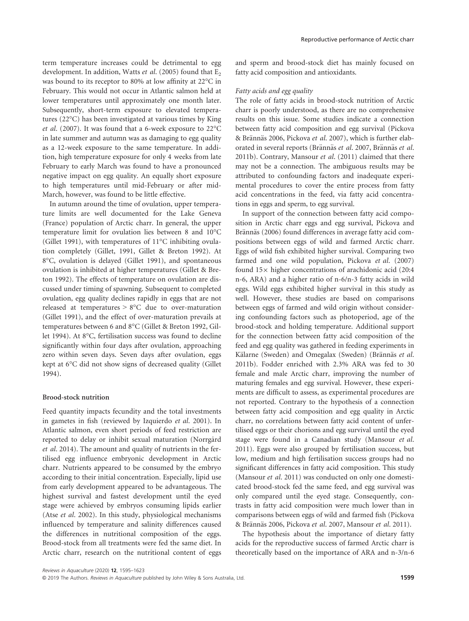term temperature increases could be detrimental to egg development. In addition, Watts *et al.* (2005) found that  $E_2$ was bound to its receptor to 80% at low affinity at 22°C in February. This would not occur in Atlantic salmon held at lower temperatures until approximately one month later. Subsequently, short-term exposure to elevated temperatures (22°C) has been investigated at various times by King et al. (2007). It was found that a 6-week exposure to 22°C in late summer and autumn was as damaging to egg quality as a 12-week exposure to the same temperature. In addition, high temperature exposure for only 4 weeks from late February to early March was found to have a pronounced negative impact on egg quality. An equally short exposure to high temperatures until mid-February or after mid-March, however, was found to be little effective.

In autumn around the time of ovulation, upper temperature limits are well documented for the Lake Geneva (France) population of Arctic charr. In general, the upper temperature limit for ovulation lies between 8 and 10°C (Gillet 1991), with temperatures of 11°C inhibiting ovulation completely (Gillet, 1991, Gillet & Breton 1992). At 8°C, ovulation is delayed (Gillet 1991), and spontaneous ovulation is inhibited at higher temperatures (Gillet & Breton 1992). The effects of temperature on ovulation are discussed under timing of spawning. Subsequent to completed ovulation, egg quality declines rapidly in eggs that are not released at temperatures > 8°C due to over-maturation (Gillet 1991), and the effect of over-maturation prevails at temperatures between 6 and 8°C (Gillet & Breton 1992, Gillet 1994). At 8°C, fertilisation success was found to decline significantly within four days after ovulation, approaching zero within seven days. Seven days after ovulation, eggs kept at 6°C did not show signs of decreased quality (Gillet 1994).

### Brood-stock nutrition

Feed quantity impacts fecundity and the total investments in gametes in fish (reviewed by Izquierdo et al. 2001). In Atlantic salmon, even short periods of feed restriction are reported to delay or inhibit sexual maturation (Norrgard et al. 2014). The amount and quality of nutrients in the fertilised egg influence embryonic development in Arctic charr. Nutrients appeared to be consumed by the embryo according to their initial concentration. Especially, lipid use from early development appeared to be advantageous. The highest survival and fastest development until the eyed stage were achieved by embryos consuming lipids earlier (Atse et al. 2002). In this study, physiological mechanisms influenced by temperature and salinity differences caused the differences in nutritional composition of the eggs. Brood-stock from all treatments were fed the same diet. In Arctic charr, research on the nutritional content of eggs

and sperm and brood-stock diet has mainly focused on fatty acid composition and antioxidants.

# Fatty acids and egg quality

The role of fatty acids in brood-stock nutrition of Arctic charr is poorly understood, as there are no comprehensive results on this issue. Some studies indicate a connection between fatty acid composition and egg survival (Pickova & Brännäs 2006, Pickova et al. 2007), which is further elaborated in several reports (Brännäs et al. 2007, Brännäs et al. 2011b). Contrary, Mansour et al. (2011) claimed that there may not be a connection. The ambiguous results may be attributed to confounding factors and inadequate experimental procedures to cover the entire process from fatty acid concentrations in the feed, via fatty acid concentrations in eggs and sperm, to egg survival.

In support of the connection between fatty acid composition in Arctic charr eggs and egg survival, Pickova and Brännäs (2006) found differences in average fatty acid compositions between eggs of wild and farmed Arctic charr. Eggs of wild fish exhibited higher survival. Comparing two farmed and one wild population, Pickova et al. (2007) found  $15\times$  higher concentrations of arachidonic acid (20:4 n-6, ARA) and a higher ratio of n-6/n-3 fatty acids in wild eggs. Wild eggs exhibited higher survival in this study as well. However, these studies are based on comparisons between eggs of farmed and wild origin without considering confounding factors such as photoperiod, age of the brood-stock and holding temperature. Additional support for the connection between fatty acid composition of the feed and egg quality was gathered in feeding experiments in Kälarne (Sweden) and Omegalax (Sweden) (Brännäs et al. 2011b). Fodder enriched with 2.3% ARA was fed to 30 female and male Arctic charr, improving the number of maturing females and egg survival. However, these experiments are difficult to assess, as experimental procedures are not reported. Contrary to the hypothesis of a connection between fatty acid composition and egg quality in Arctic charr, no correlations between fatty acid content of unfertilised eggs or their chorions and egg survival until the eyed stage were found in a Canadian study (Mansour et al. 2011). Eggs were also grouped by fertilisation success, but low, medium and high fertilisation success groups had no significant differences in fatty acid composition. This study (Mansour et al. 2011) was conducted on only one domesticated brood-stock fed the same feed, and egg survival was only compared until the eyed stage. Consequently, contrasts in fatty acid composition were much lower than in comparisons between eggs of wild and farmed fish (Pickova & Brännäs 2006, Pickova et al. 2007, Mansour et al. 2011).

The hypothesis about the importance of dietary fatty acids for the reproductive success of farmed Arctic charr is theoretically based on the importance of ARA and n-3/n-6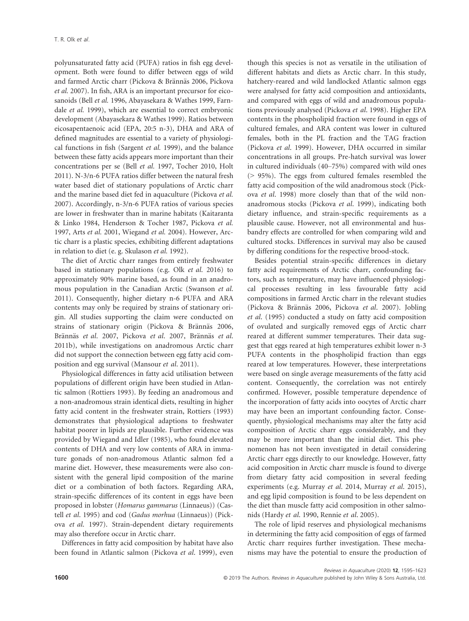polyunsaturated fatty acid (PUFA) ratios in fish egg development. Both were found to differ between eggs of wild and farmed Arctic charr (Pickova & Brännäs 2006, Pickova et al. 2007). In fish, ARA is an important precursor for eicosanoids (Bell et al. 1996, Abayasekara & Wathes 1999, Farndale et al. 1999), which are essential to correct embryonic development (Abayasekara & Wathes 1999). Ratios between eicosapentaenoic acid (EPA, 20:5 n-3), DHA and ARA of defined magnitudes are essential to a variety of physiological functions in fish (Sargent et al. 1999), and the balance between these fatty acids appears more important than their concentrations per se (Bell et al. 1997, Tocher 2010, Holt 2011). N-3/n-6 PUFA ratios differ between the natural fresh water based diet of stationary populations of Arctic charr and the marine based diet fed in aquaculture (Pickova et al. 2007). Accordingly, n-3/n-6 PUFA ratios of various species are lower in freshwater than in marine habitats (Kaitaranta & Linko 1984, Henderson & Tocher 1987, Pickova et al. 1997, Arts et al. 2001, Wiegand et al. 2004). However, Arctic charr is a plastic species, exhibiting different adaptations in relation to diet (e. g. Skulason et al. 1992).

The diet of Arctic charr ranges from entirely freshwater based in stationary populations (e.g. Olk et al. 2016) to approximately 90% marine based, as found in an anadromous population in the Canadian Arctic (Swanson et al. 2011). Consequently, higher dietary n-6 PUFA and ARA contents may only be required by strains of stationary origin. All studies supporting the claim were conducted on strains of stationary origin (Pickova & Brännäs 2006, Brännäs et al. 2007, Pickova et al. 2007, Brännäs et al. 2011b), while investigations on anadromous Arctic charr did not support the connection between egg fatty acid composition and egg survival (Mansour et al. 2011).

Physiological differences in fatty acid utilisation between populations of different origin have been studied in Atlantic salmon (Rottiers 1993). By feeding an anadromous and a non-anadromous strain identical diets, resulting in higher fatty acid content in the freshwater strain, Rottiers (1993) demonstrates that physiological adaptions to freshwater habitat poorer in lipids are plausible. Further evidence was provided by Wiegand and Idler (1985), who found elevated contents of DHA and very low contents of ARA in immature gonads of non-anadromous Atlantic salmon fed a marine diet. However, these measurements were also consistent with the general lipid composition of the marine diet or a combination of both factors. Regarding ARA, strain-specific differences of its content in eggs have been proposed in lobster (Homarus gammarus (Linnaeus)) (Castell et al. 1995) and cod (Gadus morhua (Linnaeus)) (Pickova et al. 1997). Strain-dependent dietary requirements may also therefore occur in Arctic charr.

Differences in fatty acid composition by habitat have also been found in Atlantic salmon (Pickova et al. 1999), even

though this species is not as versatile in the utilisation of different habitats and diets as Arctic charr. In this study, hatchery-reared and wild landlocked Atlantic salmon eggs were analysed for fatty acid composition and antioxidants, and compared with eggs of wild and anadromous populations previously analysed (Pickova et al. 1998). Higher EPA contents in the phospholipid fraction were found in eggs of cultured females, and ARA content was lower in cultured females, both in the PL fraction and the TAG fraction (Pickova et al. 1999). However, DHA occurred in similar concentrations in all groups. Pre-hatch survival was lower in cultured individuals (40–75%) compared with wild ones (> 95%). The eggs from cultured females resembled the fatty acid composition of the wild anadromous stock (Pickova et al. 1998) more closely than that of the wild nonanadromous stocks (Pickova et al. 1999), indicating both dietary influence, and strain-specific requirements as a plausible cause. However, not all environmental and husbandry effects are controlled for when comparing wild and cultured stocks. Differences in survival may also be caused by differing conditions for the respective brood-stock.

Besides potential strain-specific differences in dietary fatty acid requirements of Arctic charr, confounding factors, such as temperature, may have influenced physiological processes resulting in less favourable fatty acid compositions in farmed Arctic charr in the relevant studies (Pickova & Brännäs 2006, Pickova et al. 2007). Jobling et al. (1995) conducted a study on fatty acid composition of ovulated and surgically removed eggs of Arctic charr reared at different summer temperatures. Their data suggest that eggs reared at high temperatures exhibit lower n-3 PUFA contents in the phospholipid fraction than eggs reared at low temperatures. However, these interpretations were based on single average measurements of the fatty acid content. Consequently, the correlation was not entirely confirmed. However, possible temperature dependence of the incorporation of fatty acids into oocytes of Arctic charr may have been an important confounding factor. Consequently, physiological mechanisms may alter the fatty acid composition of Arctic charr eggs considerably, and they may be more important than the initial diet. This phenomenon has not been investigated in detail considering Arctic charr eggs directly to our knowledge. However, fatty acid composition in Arctic charr muscle is found to diverge from dietary fatty acid composition in several feeding experiments (e.g. Murray et al. 2014, Murray et al. 2015), and egg lipid composition is found to be less dependent on the diet than muscle fatty acid composition in other salmonids (Hardy et al. 1990, Rennie et al. 2005).

The role of lipid reserves and physiological mechanisms in determining the fatty acid composition of eggs of farmed Arctic charr requires further investigation. These mechanisms may have the potential to ensure the production of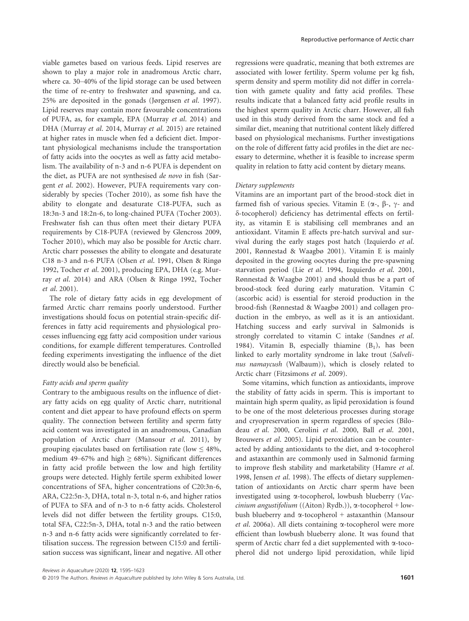viable gametes based on various feeds. Lipid reserves are shown to play a major role in anadromous Arctic charr, where ca. 30–40% of the lipid storage can be used between the time of re-entry to freshwater and spawning, and ca. 25% are deposited in the gonads (Jørgensen et al. 1997). Lipid reserves may contain more favourable concentrations of PUFA, as, for example, EPA (Murray et al. 2014) and DHA (Murray et al. 2014, Murray et al. 2015) are retained at higher rates in muscle when fed a deficient diet. Important physiological mechanisms include the transportation of fatty acids into the oocytes as well as fatty acid metabolism. The availability of n-3 and n-6 PUFA is dependent on the diet, as PUFA are not synthesised de novo in fish (Sargent et al. 2002). However, PUFA requirements vary considerably by species (Tocher 2010), as some fish have the ability to elongate and desaturate C18-PUFA, such as 18:3n-3 and 18:2n-6, to long-chained PUFA (Tocher 2003). Freshwater fish can thus often meet their dietary PUFA requirements by C18-PUFA (reviewed by Glencross 2009, Tocher 2010), which may also be possible for Arctic charr. Arctic charr possesses the ability to elongate and desaturate C18 n-3 and n-6 PUFA (Olsen et al. 1991, Olsen & Ringø 1992, Tocher et al. 2001), producing EPA, DHA (e.g. Murray et al. 2014) and ARA (Olsen & Ringø 1992, Tocher et al. 2001).

The role of dietary fatty acids in egg development of farmed Arctic charr remains poorly understood. Further investigations should focus on potential strain-specific differences in fatty acid requirements and physiological processes influencing egg fatty acid composition under various conditions, for example different temperatures. Controlled feeding experiments investigating the influence of the diet directly would also be beneficial.

# Fatty acids and sperm quality

Contrary to the ambiguous results on the influence of dietary fatty acids on egg quality of Arctic charr, nutritional content and diet appear to have profound effects on sperm quality. The connection between fertility and sperm fatty acid content was investigated in an anadromous, Canadian population of Arctic charr (Mansour et al. 2011), by grouping ejaculates based on fertilisation rate (low  $\leq 48\%$ , medium 49–67% and high  $\geq$  68%). Significant differences in fatty acid profile between the low and high fertility groups were detected. Highly fertile sperm exhibited lower concentrations of SFA, higher concentrations of C20:3n-6, ARA, C22:5n-3, DHA, total n-3, total n-6, and higher ratios of PUFA to SFA and of n-3 to n-6 fatty acids. Cholesterol levels did not differ between the fertility groups. C15:0, total SFA, C22:5n-3, DHA, total n-3 and the ratio between n-3 and n-6 fatty acids were significantly correlated to fertilisation success. The regression between C15:0 and fertilisation success was significant, linear and negative. All other

regressions were quadratic, meaning that both extremes are associated with lower fertility. Sperm volume per kg fish, sperm density and sperm motility did not differ in correlation with gamete quality and fatty acid profiles. These results indicate that a balanced fatty acid profile results in the highest sperm quality in Arctic charr. However, all fish used in this study derived from the same stock and fed a similar diet, meaning that nutritional content likely differed based on physiological mechanisms. Further investigations on the role of different fatty acid profiles in the diet are necessary to determine, whether it is feasible to increase sperm quality in relation to fatty acid content by dietary means.

#### Dietary supplements

Vitamins are an important part of the brood-stock diet in farmed fish of various species. Vitamin E ( $\alpha$ -,  $\beta$ -,  $\gamma$ - and d-tocopherol) deficiency has detrimental effects on fertility, as vitamin E is stabilising cell membranes and an antioxidant. Vitamin E affects pre-hatch survival and survival during the early stages post hatch (Izquierdo et al. 2001, Rønnestad & Waagbø 2001). Vitamin E is mainly deposited in the growing oocytes during the pre-spawning starvation period (Lie et al. 1994, Izquierdo et al. 2001, Rønnestad & Waagbø 2001) and should thus be a part of brood-stock feed during early maturation. Vitamin C (ascorbic acid) is essential for steroid production in the brood-fish (Rønnestad & Waagbø 2001) and collagen production in the embryo, as well as it is an antioxidant. Hatching success and early survival in Salmonids is strongly correlated to vitamin C intake (Sandnes et al. 1984). Vitamin B, especially thiamine  $(B_1)$ , has been linked to early mortality syndrome in lake trout (Salvelinus namaycush (Walbaum)), which is closely related to Arctic charr (Fitzsimons et al. 2009).

Some vitamins, which function as antioxidants, improve the stability of fatty acids in sperm. This is important to maintain high sperm quality, as lipid peroxidation is found to be one of the most deleterious processes during storage and cryopreservation in sperm regardless of species (Bilodeau et al. 2000, Cerolini et al. 2000, Ball et al. 2001, Brouwers et al. 2005). Lipid peroxidation can be counteracted by adding antioxidants to the diet, and  $\alpha$ -tocopherol and astaxanthin are commonly used in Salmonid farming to improve flesh stability and marketability (Hamre et al. 1998, Jensen et al. 1998). The effects of dietary supplementation of antioxidants on Arctic charr sperm have been investigated using a-tocopherol, lowbush blueberry (Vaccinium angustifolium ((Aiton) Rydb.)),  $\alpha$ -tocopherol + lowbush blueberry and  $\alpha$ -tocopherol + astaxanthin (Mansour et al. 2006a). All diets containing a-tocopherol were more efficient than lowbush blueberry alone. It was found that sperm of Arctic charr fed a diet supplemented with a-tocopherol did not undergo lipid peroxidation, while lipid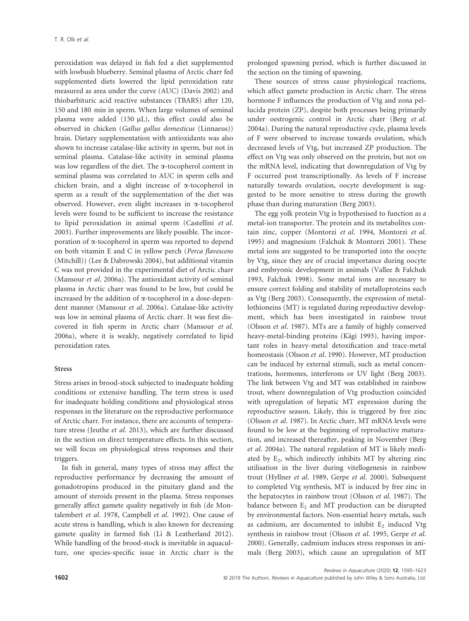peroxidation was delayed in fish fed a diet supplemented with lowbush blueberry. Seminal plasma of Arctic charr fed supplemented diets lowered the lipid peroxidation rate measured as area under the curve (AUC) (Davis 2002) and thiobarbituric acid reactive substances (TBARS) after 120, 150 and 180 min in sperm. When large volumes of seminal plasma were added  $(150 \mu L)$ , this effect could also be observed in chicken (Gallus gallus domesticus (Linnaeus)) brain. Dietary supplementation with antioxidants was also shown to increase catalase-like activity in sperm, but not in seminal plasma. Catalase-like activity in seminal plasma was low regardless of the diet. The a-tocopherol content in seminal plasma was correlated to AUC in sperm cells and chicken brain, and a slight increase of a-tocopherol in sperm as a result of the supplementation of the diet was observed. However, even slight increases in a-tocopherol levels were found to be sufficient to increase the resistance to lipid peroxidation in animal sperm (Castellini et al. 2003). Further improvements are likely possible. The incorporation of a-tocopherol in sperm was reported to depend on both vitamin E and C in yellow perch (Perca flavescens (Mitchill)) (Lee & Dabrowski 2004), but additional vitamin C was not provided in the experimental diet of Arctic charr (Mansour et al. 2006a). The antioxidant activity of seminal plasma in Arctic charr was found to be low, but could be increased by the addition of  $\alpha$ -tocopherol in a dose-dependent manner (Mansour et al. 2006a). Catalase-like activity was low in seminal plasma of Arctic charr. It was first discovered in fish sperm in Arctic charr (Mansour et al. 2006a), where it is weakly, negatively correlated to lipid peroxidation rates.

# Stress

Stress arises in brood-stock subjected to inadequate holding conditions or extensive handling. The term stress is used for inadequate holding conditions and physiological stress responses in the literature on the reproductive performance of Arctic charr. For instance, there are accounts of temperature stress (Jeuthe et al. 2013), which are further discussed in the section on direct temperature effects. In this section, we will focus on physiological stress responses and their triggers.

In fish in general, many types of stress may affect the reproductive performance by decreasing the amount of gonadotropins produced in the pituitary gland and the amount of steroids present in the plasma. Stress responses generally affect gamete quality negatively in fish (de Montalembert et al. 1978, Campbell et al. 1992). One cause of acute stress is handling, which is also known for decreasing gamete quality in farmed fish (Li & Leatherland 2012). While handling of the brood-stock is inevitable in aquaculture, one species-specific issue in Arctic charr is the prolonged spawning period, which is further discussed in the section on the timing of spawning.

These sources of stress cause physiological reactions, which affect gamete production in Arctic charr. The stress hormone F influences the production of Vtg and zona pellucida protein (ZP), despite both processes being primarily under oestrogenic control in Arctic charr (Berg et al. 2004a). During the natural reproductive cycle, plasma levels of F were observed to increase towards ovulation, which decreased levels of Vtg, but increased ZP production. The effect on Vtg was only observed on the protein, but not on the mRNA level, indicating that downregulation of Vtg by F occurred post transcriptionally. As levels of F increase naturally towards ovulation, oocyte development is suggested to be more sensitive to stress during the growth phase than during maturation (Berg 2003).

The egg yolk protein Vtg is hypothesised to function as a metal-ion transporter. The protein and its metabolites contain zinc, copper (Montorzi et al. 1994, Montorzi et al. 1995) and magnesium (Falchuk & Montorzi 2001). These metal ions are suggested to be transported into the oocyte by Vtg, since they are of crucial importance during oocyte and embryonic development in animals (Vallee & Falchuk 1993, Falchuk 1998). Some metal ions are necessary to ensure correct folding and stability of metalloproteins such as Vtg (Berg 2003). Consequently, the expression of metallothioneins (MT) is regulated during reproductive development, which has been investigated in rainbow trout (Olsson et al. 1987). MTs are a family of highly conserved heavy-metal-binding proteins (Kägi 1993), having important roles in heavy-metal detoxification and trace-metal homeostasis (Olsson et al. 1990). However, MT production can be induced by external stimuli, such as metal concentrations, hormones, interferons or UV light (Berg 2003). The link between Vtg and MT was established in rainbow trout, where downregulation of Vtg production coincided with upregulation of hepatic MT expression during the reproductive season. Likely, this is triggered by free zinc (Olsson et al. 1987). In Arctic charr, MT mRNA levels were found to be low at the beginning of reproductive maturation, and increased thereafter, peaking in November (Berg et al. 2004a). The natural regulation of MT is likely mediated by  $E_2$ , which indirectly inhibits MT by altering zinc utilisation in the liver during vitellogenesis in rainbow trout (Hyllner et al. 1989, Gerpe et al. 2000). Subsequent to completed Vtg synthesis, MT is induced by free zinc in the hepatocytes in rainbow trout (Olsson et al. 1987). The balance between  $E_2$  and MT production can be disrupted by environmental factors. Non-essential heavy metals, such as cadmium, are documented to inhibit  $E_2$  induced Vtg synthesis in rainbow trout (Olsson et al. 1995, Gerpe et al. 2000). Generally, cadmium induces stress responses in animals (Berg 2003), which cause an upregulation of MT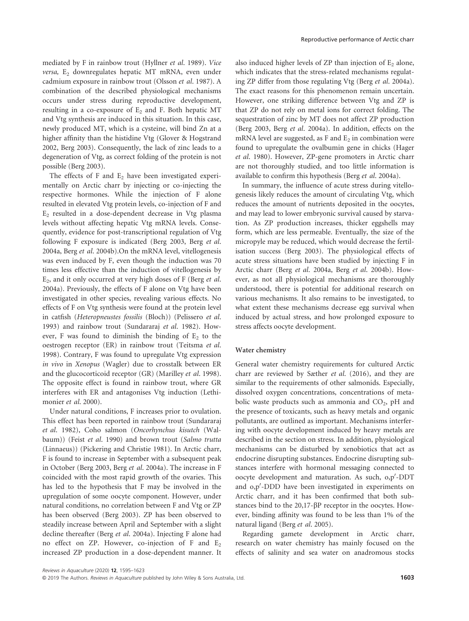mediated by F in rainbow trout (Hyllner et al. 1989). Vice  $versa$ ,  $E_2$  downregulates hepatic MT mRNA, even under cadmium exposure in rainbow trout (Olsson et al. 1987). A combination of the described physiological mechanisms occurs under stress during reproductive development, resulting in a co-exposure of  $E_2$  and F. Both hepatic MT and Vtg synthesis are induced in this situation. In this case, newly produced MT, which is a cysteine, will bind Zn at a higher affinity than the histidine Vtg (Glover & Hogstrand 2002, Berg 2003). Consequently, the lack of zinc leads to a degeneration of Vtg, as correct folding of the protein is not possible (Berg 2003).

The effects of F and  $E_2$  have been investigated experimentally on Arctic charr by injecting or co-injecting the respective hormones. While the injection of F alone resulted in elevated Vtg protein levels, co-injection of F and  $E<sub>2</sub>$  resulted in a dose-dependent decrease in Vtg plasma levels without affecting hepatic Vtg mRNA levels. Consequently, evidence for post-transcriptional regulation of Vtg following F exposure is indicated (Berg 2003, Berg et al. 2004a, Berg et al. 2004b).On the mRNA level, vitellogenesis was even induced by F, even though the induction was 70 times less effective than the induction of vitellogenesis by  $E_2$ , and it only occurred at very high doses of F (Berg et al. 2004a). Previously, the effects of F alone on Vtg have been investigated in other species, revealing various effects. No effects of F on Vtg synthesis were found at the protein level in catfish (Heteropneustes fossilis (Bloch)) (Pelissero et al. 1993) and rainbow trout (Sundararaj et al. 1982). However, F was found to diminish the binding of  $E_2$  to the oestrogen receptor (ER) in rainbow trout (Teitsma et al. 1998). Contrary, F was found to upregulate Vtg expression in vivo in Xenopus (Wagler) due to crosstalk between ER and the glucocorticoid receptor (GR) (Marilley et al. 1998). The opposite effect is found in rainbow trout, where GR interferes with ER and antagonises Vtg induction (Lethimonier et al. 2000).

Under natural conditions, F increases prior to ovulation. This effect has been reported in rainbow trout (Sundararaj et al. 1982), Coho salmon (Oncorhynchus kisutch (Walbaum)) (Feist et al. 1990) and brown trout (Salmo trutta (Linnaeus)) (Pickering and Christie 1981). In Arctic charr, F is found to increase in September with a subsequent peak in October (Berg 2003, Berg et al. 2004a). The increase in F coincided with the most rapid growth of the ovaries. This has led to the hypothesis that F may be involved in the upregulation of some oocyte component. However, under natural conditions, no correlation between F and Vtg or ZP has been observed (Berg 2003). ZP has been observed to steadily increase between April and September with a slight decline thereafter (Berg et al. 2004a). Injecting F alone had no effect on ZP. However, co-injection of F and  $E_2$ increased ZP production in a dose-dependent manner. It

also induced higher levels of ZP than injection of  $E_2$  alone, which indicates that the stress-related mechanisms regulating ZP differ from those regulating Vtg (Berg et al. 2004a). The exact reasons for this phenomenon remain uncertain. However, one striking difference between Vtg and ZP is that ZP do not rely on metal ions for correct folding. The sequestration of zinc by MT does not affect ZP production (Berg 2003, Berg et al. 2004a). In addition, effects on the mRNA level are suggested, as F and  $E_2$  in combination were found to upregulate the ovalbumin gene in chicks (Hager et al. 1980). However, ZP-gene promoters in Arctic charr are not thoroughly studied, and too little information is available to confirm this hypothesis (Berg et al. 2004a).

In summary, the influence of acute stress during vitellogenesis likely reduces the amount of circulating Vtg, which reduces the amount of nutrients deposited in the oocytes, and may lead to lower embryonic survival caused by starvation. As ZP production increases, thicker eggshells may form, which are less permeable. Eventually, the size of the micropyle may be reduced, which would decrease the fertilisation success (Berg 2003). The physiological effects of acute stress situations have been studied by injecting F in Arctic charr (Berg et al. 2004a, Berg et al. 2004b). However, as not all physiological mechanisms are thoroughly understood, there is potential for additional research on various mechanisms. It also remains to be investigated, to what extent these mechanisms decrease egg survival when induced by actual stress, and how prolonged exposure to stress affects oocyte development.

#### Water chemistry

General water chemistry requirements for cultured Arctic charr are reviewed by Sæther et al. (2016), and they are similar to the requirements of other salmonids. Especially, dissolved oxygen concentrations, concentrations of metabolic waste products such as ammonia and  $CO<sub>2</sub>$ , pH and the presence of toxicants, such as heavy metals and organic pollutants, are outlined as important. Mechanisms interfering with oocyte development induced by heavy metals are described in the section on stress. In addition, physiological mechanisms can be disturbed by xenobiotics that act as endocrine disrupting substances. Endocrine disrupting substances interfere with hormonal messaging connected to oocyte development and maturation. As such, 0,p'-DDT and 0,p'-DDD have been investigated in experiments on Arctic charr, and it has been confirmed that both substances bind to the  $20,17-\beta P$  receptor in the oocytes. However, binding affinity was found to be less than 1% of the natural ligand (Berg et al. 2005).

Regarding gamete development in Arctic charr, research on water chemistry has mainly focused on the effects of salinity and sea water on anadromous stocks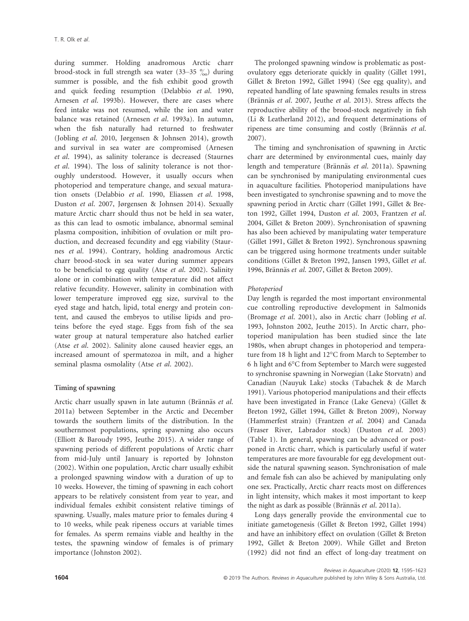during summer. Holding anadromous Arctic charr brood-stock in full strength sea water  $(33-35\frac{\degree}{100})$  during summer is possible, and the fish exhibit good growth and quick feeding resumption (Delabbio et al. 1990, Arnesen et al. 1993b). However, there are cases where feed intake was not resumed, while the ion and water balance was retained (Arnesen et al. 1993a). In autumn, when the fish naturally had returned to freshwater (Jobling et al. 2010, Jørgensen & Johnsen 2014), growth and survival in sea water are compromised (Arnesen et al. 1994), as salinity tolerance is decreased (Staurnes et al. 1994). The loss of salinity tolerance is not thoroughly understood. However, it usually occurs when photoperiod and temperature change, and sexual maturation onsets (Delabbio et al. 1990, Eliassen et al. 1998, Duston et al. 2007, Jørgensen & Johnsen 2014). Sexually mature Arctic charr should thus not be held in sea water, as this can lead to osmotic imbalance, abnormal seminal plasma composition, inhibition of ovulation or milt production, and decreased fecundity and egg viability (Staurnes et al. 1994). Contrary, holding anadromous Arctic charr brood-stock in sea water during summer appears to be beneficial to egg quality (Atse et al. 2002). Salinity alone or in combination with temperature did not affect relative fecundity. However, salinity in combination with lower temperature improved egg size, survival to the eyed stage and hatch, lipid, total energy and protein content, and caused the embryos to utilise lipids and proteins before the eyed stage. Eggs from fish of the sea water group at natural temperature also hatched earlier (Atse et al. 2002). Salinity alone caused heavier eggs, an increased amount of spermatozoa in milt, and a higher seminal plasma osmolality (Atse et al. 2002).

# Timing of spawning

Arctic charr usually spawn in late autumn (Brännäs et al. 2011a) between September in the Arctic and December towards the southern limits of the distribution. In the southernmost populations, spring spawning also occurs (Elliott & Baroudy 1995, Jeuthe 2015). A wider range of spawning periods of different populations of Arctic charr from mid-July until January is reported by Johnston (2002). Within one population, Arctic charr usually exhibit a prolonged spawning window with a duration of up to 10 weeks. However, the timing of spawning in each cohort appears to be relatively consistent from year to year, and individual females exhibit consistent relative timings of spawning. Usually, males mature prior to females during 4 to 10 weeks, while peak ripeness occurs at variable times for females. As sperm remains viable and healthy in the testes, the spawning window of females is of primary importance (Johnston 2002).

The prolonged spawning window is problematic as postovulatory eggs deteriorate quickly in quality (Gillet 1991, Gillet & Breton 1992, Gillet 1994) (See egg quality), and repeated handling of late spawning females results in stress (Brännäs et al. 2007, Jeuthe et al. 2013). Stress affects the reproductive ability of the brood-stock negatively in fish (Li & Leatherland 2012), and frequent determinations of ripeness are time consuming and costly (Brännäs et al. 2007).

The timing and synchronisation of spawning in Arctic charr are determined by environmental cues, mainly day length and temperature (Brännäs et al. 2011a). Spawning can be synchronised by manipulating environmental cues in aquaculture facilities. Photoperiod manipulations have been investigated to synchronise spawning and to move the spawning period in Arctic charr (Gillet 1991, Gillet & Breton 1992, Gillet 1994, Duston et al. 2003, Frantzen et al. 2004, Gillet & Breton 2009). Synchronisation of spawning has also been achieved by manipulating water temperature (Gillet 1991, Gillet & Breton 1992). Synchronous spawning can be triggered using hormone treatments under suitable conditions (Gillet & Breton 1992, Jansen 1993, Gillet et al. 1996, Brännäs et al. 2007, Gillet & Breton 2009).

#### Photoperiod

Day length is regarded the most important environmental cue controlling reproductive development in Salmonids (Bromage et al. 2001), also in Arctic charr (Jobling et al. 1993, Johnston 2002, Jeuthe 2015). In Arctic charr, photoperiod manipulation has been studied since the late 1980s, when abrupt changes in photoperiod and temperature from 18 h light and 12°C from March to September to 6 h light and 6°C from September to March were suggested to synchronise spawning in Norwegian (Lake Storvatn) and Canadian (Nauyuk Lake) stocks (Tabachek & de March 1991). Various photoperiod manipulations and their effects have been investigated in France (Lake Geneva) (Gillet & Breton 1992, Gillet 1994, Gillet & Breton 2009), Norway (Hammerfest strain) (Frantzen et al. 2004) and Canada (Fraser River, Labrador stock) (Duston et al. 2003) (Table 1). In general, spawning can be advanced or postponed in Arctic charr, which is particularly useful if water temperatures are more favourable for egg development outside the natural spawning season. Synchronisation of male and female fish can also be achieved by manipulating only one sex. Practically, Arctic charr reacts most on differences in light intensity, which makes it most important to keep the night as dark as possible (Brännäs et al. 2011a).

Long days generally provide the environmental cue to initiate gametogenesis (Gillet & Breton 1992, Gillet 1994) and have an inhibitory effect on ovulation (Gillet & Breton 1992, Gillet & Breton 2009). While Gillet and Breton (1992) did not find an effect of long-day treatment on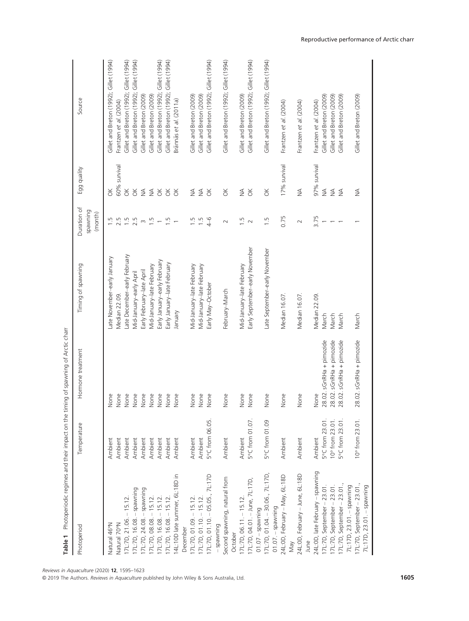| Table 1 Photoperiodic regimes and their impact on the timing of spawning of Arctic charr |                 |                          |                                |                                   |                  |                                         |
|------------------------------------------------------------------------------------------|-----------------|--------------------------|--------------------------------|-----------------------------------|------------------|-----------------------------------------|
| Photoperiod                                                                              | Temperature     | Hormone treatment        | Timing of spawning             | Duration of<br>pawning<br>(month) | Egg quality      | Source                                  |
| Natural 46°N                                                                             | Ambient         | None                     | ate November-early January     | ru.                               | ă                | Gillet and Breton (1992); Gillet (1994) |
| Vatural 70°N                                                                             | Ambient         | None                     | Median 22.09                   | 2.5                               | 60% survival     | Frantzen et al. (2004)                  |
| I7L:7D, 21.06. - 15.12                                                                   | Ambient         | None                     | ate December-early February    | 1.5                               | $\breve{\sigma}$ | Gillet and Breton (1992); Gillet (1994) |
| I7L:7D, 16.08. - spawning                                                                | Ambient         | None                     | Mid-January-early April        | 2.5                               | $\breve{\sigma}$ | Gillet and Breton (1992); Gillet (1994) |
| 7L:7D, 24.08. - spawning                                                                 | Ambient         | None                     | Early February-late April      | $\infty$                          | $\lessgtr$       | Gillet and Breton (2009)                |
| $7L:7D, 08.08. - 15.12.$                                                                 | Ambient         | None                     | Mid-January-late February      | $1.\overline{5}$                  | $\lessgtr$       | Gillet and Breton (2009)                |
| 7L:7D, 16.08. - 15.12                                                                    | Ambient         | None                     | Early January-early February   | $\overline{\phantom{0}}$          | $\preceq$        | Gillet and Breton (1992); Gillet (1994) |
| I7L:7D, 16.08. - 15.12                                                                   | Ambient         | None                     | Early January-late February    | $\overline{1}$ .                  | $\preceq$        | Gillet and Breton (1992); Gillet (1994) |
| 14L:10D late summer, 6L:18D in                                                           | Ambient         | None                     | Vienuel                        | $\overline{\phantom{0}}$          | $\breve{\sigma}$ | Brännäs et al. (2011a)                  |
| December                                                                                 |                 |                          |                                |                                   |                  |                                         |
| 17L:7D, 01.09. - 15.12                                                                   | Ambient         | None                     | Vid-January-late February      | $\frac{5}{1}$                     | ₹                | Gillet and Breton (2009)                |
| 17L:7D, 01.10. - 15.12.                                                                  | Ambient         | None                     | Mid-January-late February      | 1.5                               | $\lessgtr$       | Gillet and Breton (2009)                |
| 17L:7D, 01.10. - 05.05., 7L:17D                                                          | 5°C from 06.05. | None                     | Early May-October              | $4 - 6$                           | $\breve{\sigma}$ | Gillet and Breton (1992); Gillet (1994) |
| -spawning                                                                                |                 |                          |                                |                                   |                  |                                         |
| Second spawning, natural from                                                            | Ambient         | None                     | February-March                 | $\sim$                            | $\breve{\sigma}$ | Gillet and Breton (1992); Gillet (1994) |
| October                                                                                  |                 |                          |                                |                                   |                  |                                         |
| 17L:7D, 06.11. - 15.12                                                                   | Ambient         | None                     | Mid-January-late February      | $\overline{1}$ .                  | $\frac{4}{2}$    | Gillet and Breton (2009)                |
| 17L:7D, 04.01. - June, 7L:17D,                                                           | 5°C from 01.07. | None                     | Early September-early November | $\sim$                            | $\breve{\sigma}$ | Gillet and Breton (1992); Gillet (1994) |
| $01.07 - spawming$                                                                       |                 |                          |                                |                                   |                  |                                         |
| 17L:7D, 01.04. - 30.06., 7L:17D,                                                         | 5°C from 01.09  | None                     | Late September-early November  | 1.5                               | $\preceq$        | Gillet and Breton (1992); Gillet (1994) |
| $01.07 - spawning$                                                                       |                 |                          |                                |                                   |                  |                                         |
| 24L:0D, February - May, 6L:18D                                                           | Ambient         | None                     | Median 16.07                   | 0.75                              | 17% survival     | Frantzen et al. (2004)                  |
| Nay                                                                                      |                 |                          |                                |                                   |                  |                                         |
| 24L:0D, February - June, 6L:18D                                                          | Ambient         | None                     | Median 16.07                   | $\sim$                            | $\frac{4}{2}$    | Frantzen et al. (2004)                  |
| June                                                                                     |                 |                          |                                |                                   |                  |                                         |
| 24L:0D, late February - spawning                                                         | Ambient         | None                     | Median 22.09                   | 3.75                              | 97% survival     | Frantzen et al. (2004)                  |
| 17L:7D, September - 23.01.                                                               | 5°C from 23.01. | 28.02. sGnRHa + pimozide | March                          |                                   | $\frac{4}{2}$    | Gillet and Breton (2009)                |
| I7L:7D, September - 23.01.                                                               | 10° from 23.01. | 28.02. sGnRHa + pimozide | March                          |                                   | $\lessgtr$       | Gillet and Breton (2009)                |
| 7L:7D, September - 23.01.,                                                               | 5°C from 23.01. | 28.02. sGnRHa + pimozide | March                          |                                   | $\leq$           | Gillet and Breton (2009)                |
| 7L:17D, 23.01. - spawning                                                                |                 |                          |                                |                                   |                  |                                         |
| 17L:7D, September - 23.01.,                                                              | 10° from 23.01. | 28.02. sGnRHa + pimozide | March                          |                                   | $\lessgtr$       | Gillet and Breton (2009)                |
| 7L:17D, 23.01. - spawning                                                                |                 |                          |                                |                                   |                  |                                         |

© 2019 The Authors. Reviews in Aquaculture published by John Wiley & Sons Australia, Ltd. 1605

Reproductive performance of Arctic charr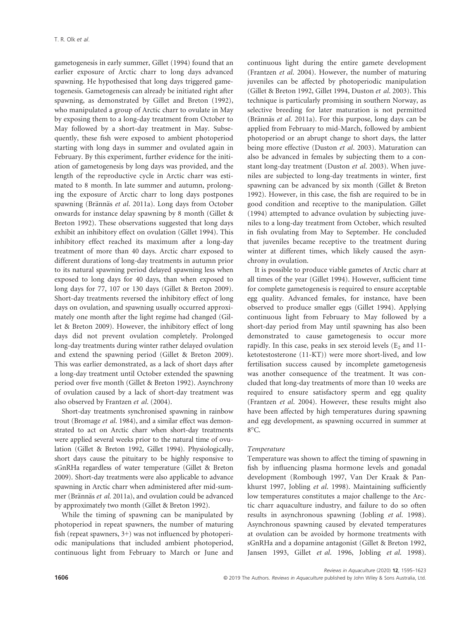gametogenesis in early summer, Gillet (1994) found that an earlier exposure of Arctic charr to long days advanced spawning. He hypothesised that long days triggered gametogenesis. Gametogenesis can already be initiated right after spawning, as demonstrated by Gillet and Breton (1992), who manipulated a group of Arctic charr to ovulate in May by exposing them to a long-day treatment from October to May followed by a short-day treatment in May. Subsequently, these fish were exposed to ambient photoperiod starting with long days in summer and ovulated again in February. By this experiment, further evidence for the initiation of gametogenesis by long days was provided, and the length of the reproductive cycle in Arctic charr was estimated to 8 month. In late summer and autumn, prolonging the exposure of Arctic charr to long days postpones spawning (Brännäs et al. 2011a). Long days from October onwards for instance delay spawning by 8 month (Gillet & Breton 1992). These observations suggested that long days exhibit an inhibitory effect on ovulation (Gillet 1994). This inhibitory effect reached its maximum after a long-day treatment of more than 40 days. Arctic charr exposed to different durations of long-day treatments in autumn prior to its natural spawning period delayed spawning less when exposed to long days for 40 days, than when exposed to long days for 77, 107 or 130 days (Gillet & Breton 2009). Short-day treatments reversed the inhibitory effect of long days on ovulation, and spawning usually occurred approximately one month after the light regime had changed (Gillet & Breton 2009). However, the inhibitory effect of long days did not prevent ovulation completely. Prolonged long-day treatments during winter rather delayed ovulation and extend the spawning period (Gillet & Breton 2009). This was earlier demonstrated, as a lack of short days after a long-day treatment until October extended the spawning period over five month (Gillet & Breton 1992). Asynchrony of ovulation caused by a lack of short-day treatment was also observed by Frantzen et al. (2004).

Short-day treatments synchronised spawning in rainbow trout (Bromage et al. 1984), and a similar effect was demonstrated to act on Arctic charr when short-day treatments were applied several weeks prior to the natural time of ovulation (Gillet & Breton 1992, Gillet 1994). Physiologically, short days cause the pituitary to be highly responsive to sGnRHa regardless of water temperature (Gillet & Breton 2009). Short-day treatments were also applicable to advance spawning in Arctic charr when administered after mid-summer (Brännäs et al. 2011a), and ovulation could be advanced by approximately two month (Gillet & Breton 1992).

While the timing of spawning can be manipulated by photoperiod in repeat spawners, the number of maturing fish (repeat spawners, 3+) was not influenced by photoperiodic manipulations that included ambient photoperiod, continuous light from February to March or June and

continuous light during the entire gamete development (Frantzen et al. 2004). However, the number of maturing juveniles can be affected by photoperiodic manipulation (Gillet & Breton 1992, Gillet 1994, Duston et al. 2003). This technique is particularly promising in southern Norway, as selective breeding for later maturation is not permitted (Brännäs et al. 2011a). For this purpose, long days can be applied from February to mid-March, followed by ambient photoperiod or an abrupt change to short days, the latter being more effective (Duston et al. 2003). Maturation can also be advanced in females by subjecting them to a constant long-day treatment (Duston et al. 2003). When juveniles are subjected to long-day treatments in winter, first spawning can be advanced by six month (Gillet & Breton 1992). However, in this case, the fish are required to be in good condition and receptive to the manipulation. Gillet (1994) attempted to advance ovulation by subjecting juveniles to a long-day treatment from October, which resulted in fish ovulating from May to September. He concluded that juveniles became receptive to the treatment during winter at different times, which likely caused the asynchrony in ovulation.

It is possible to produce viable gametes of Arctic charr at all times of the year (Gillet 1994). However, sufficient time for complete gametogenesis is required to ensure acceptable egg quality. Advanced females, for instance, have been observed to produce smaller eggs (Gillet 1994). Applying continuous light from February to May followed by a short-day period from May until spawning has also been demonstrated to cause gametogenesis to occur more rapidly. In this case, peaks in sex steroid levels  $(E_2 \text{ and } 11$ ketotestosterone (11-KT)) were more short-lived, and low fertilisation success caused by incomplete gametogenesis was another consequence of the treatment. It was concluded that long-day treatments of more than 10 weeks are required to ensure satisfactory sperm and egg quality (Frantzen et al. 2004). However, these results might also have been affected by high temperatures during spawning and egg development, as spawning occurred in summer at 8°C.

# Temperature

Temperature was shown to affect the timing of spawning in fish by influencing plasma hormone levels and gonadal development (Rombough 1997, Van Der Kraak & Pankhurst 1997, Jobling et al. 1998). Maintaining sufficiently low temperatures constitutes a major challenge to the Arctic charr aquaculture industry, and failure to do so often results in asynchronous spawning (Jobling et al. 1998). Asynchronous spawning caused by elevated temperatures at ovulation can be avoided by hormone treatments with sGnRHa and a dopamine antagonist (Gillet & Breton 1992, Jansen 1993, Gillet et al. 1996, Jobling et al. 1998).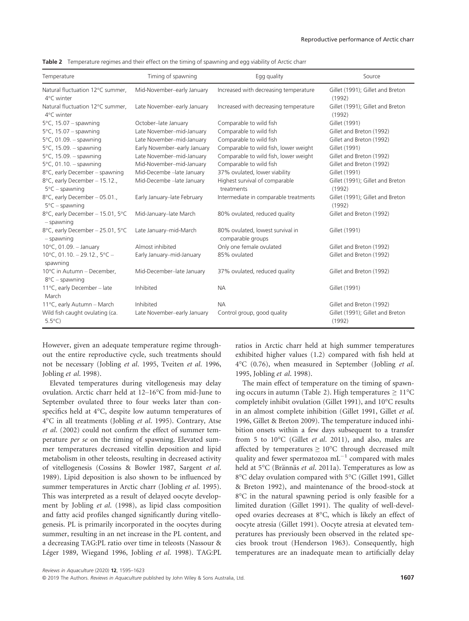| Temperature                                               | Timing of spawning           | Egg quality                                           | Source                                     |
|-----------------------------------------------------------|------------------------------|-------------------------------------------------------|--------------------------------------------|
| Natural fluctuation 12°C summer,<br>4°C winter            | Mid-November-early January   | Increased with decreasing temperature                 | Gillet (1991); Gillet and Breton<br>(1992) |
| Natural fluctuation 12°C summer,<br>4°C winter            | Late November-early January  | Increased with decreasing temperature                 | Gillet (1991); Gillet and Breton<br>(1992) |
| $5^{\circ}$ C, 15.07 - spawning                           | October-late January         | Comparable to wild fish                               | Gillet (1991)                              |
| $5^{\circ}$ C, 15.07 - spawning                           | Late November-mid-January    | Comparable to wild fish                               | Gillet and Breton (1992)                   |
| $5^{\circ}$ C, 01.09. - spawning                          | Late November-mid-January    | Comparable to wild fish                               | Gillet and Breton (1992)                   |
| $5^{\circ}$ C, 15.09. - spawning                          | Early November-early January | Comparable to wild fish, lower weight                 | Gillet (1991)                              |
| $5^{\circ}$ C, 15.09. - spawning                          | Late November-mid-January    | Comparable to wild fish, lower weight                 | Gillet and Breton (1992)                   |
| $5^{\circ}$ C, 01.10. - spawning                          | Mid-November-mid-January     | Comparable to wild fish                               | Gillet and Breton (1992)                   |
| 8°C, early December - spawning                            | Mid-Decembe - late January   | 37% ovulated, lower viability                         | Gillet (1991)                              |
| 8°C, early December - 15.12.,<br>$5^{\circ}$ C – spawning | Mid-Decembe - late January   | Highest survival of comparable<br>treatments          | Gillet (1991); Gillet and Breton<br>(1992) |
| 8°C, early December - 05.01.,<br>$5^{\circ}$ C – spawning | Early January-late February  | Intermediate in comparable treatments                 | Gillet (1991); Gillet and Breton<br>(1992) |
| 8°C, early December - 15.01, 5°C<br>$-$ spawning          | Mid-January-late March       | 80% ovulated, reduced quality                         | Gillet and Breton (1992)                   |
| 8°C, early December - 25.01, 5°C<br>$-$ spawning          | Late January-mid-March       | 80% ovulated, lowest survival in<br>comparable groups | Gillet (1991)                              |
| 10°C, 01.09. - January                                    | Almost inhibited             | Only one female ovulated                              | Gillet and Breton (1992)                   |
| 10°C, 01.10. - 29.12., $5$ °C -<br>spawning               | Early January-mid-January    | 85% ovulated                                          | Gillet and Breton (1992)                   |
| 10°C in Autumn - December,<br>$8^{\circ}$ C – spawning    | Mid-December-late January    | 37% ovulated, reduced quality                         | Gillet and Breton (1992)                   |
| 11°C, early December - late<br>March                      | Inhibited                    | <b>NA</b>                                             | Gillet (1991)                              |
| 11°C, early Autumn - March                                | Inhibited                    | <b>NA</b>                                             | Gillet and Breton (1992)                   |
| Wild fish caught ovulating (ca.<br>$5.5^{\circ}$ C)       | Late November-early January  | Control group, good quality                           | Gillet (1991); Gillet and Breton<br>(1992) |

Table 2 Temperature regimes and their effect on the timing of spawning and egg viability of Arctic charr

However, given an adequate temperature regime throughout the entire reproductive cycle, such treatments should not be necessary (Jobling et al. 1995, Tveiten et al. 1996, Jobling et al. 1998).

Elevated temperatures during vitellogenesis may delay ovulation. Arctic charr held at 12–16°C from mid-June to September ovulated three to four weeks later than conspecifics held at 4°C, despite low autumn temperatures of 4°C in all treatments (Jobling et al. 1995). Contrary, Atse et al. (2002) could not confirm the effect of summer temperature per se on the timing of spawning. Elevated summer temperatures decreased vitellin deposition and lipid metabolism in other teleosts, resulting in decreased activity of vitellogenesis (Cossins & Bowler 1987, Sargent et al. 1989). Lipid deposition is also shown to be influenced by summer temperatures in Arctic charr (Jobling et al. 1995). This was interpreted as a result of delayed oocyte development by Jobling et al. (1998), as lipid class composition and fatty acid profiles changed significantly during vitellogenesis. PL is primarily incorporated in the oocytes during summer, resulting in an net increase in the PL content, and a decreasing TAG:PL ratio over time in teleosts (Nassour & Léger 1989, Wiegand 1996, Jobling et al. 1998). TAG:PL

ratios in Arctic charr held at high summer temperatures exhibited higher values (1.2) compared with fish held at  $4^{\circ}$ C (0.76), when measured in September (Jobling *et al.* 1995, Jobling et al. 1998).

The main effect of temperature on the timing of spawning occurs in autumn (Table 2). High temperatures  $\geq 11^{\circ}C$ completely inhibit ovulation (Gillet 1991), and 10°C results in an almost complete inhibition (Gillet 1991, Gillet et al. 1996, Gillet & Breton 2009). The temperature induced inhibition onsets within a few days subsequent to a transfer from 5 to 10°C (Gillet et al. 2011), and also, males are affected by temperatures  $\geq 10^{\circ}$ C through decreased milt quality and fewer spermatozoa  $mL^{-1}$  compared with males held at 5°C (Brännäs et al. 2011a). Temperatures as low as 8°C delay ovulation compared with 5°C (Gillet 1991, Gillet & Breton 1992), and maintenance of the brood-stock at 8°C in the natural spawning period is only feasible for a limited duration (Gillet 1991). The quality of well-developed ovaries decreases at 8°C, which is likely an effect of oocyte atresia (Gillet 1991). Oocyte atresia at elevated temperatures has previously been observed in the related species brook trout (Henderson 1963). Consequently, high temperatures are an inadequate mean to artificially delay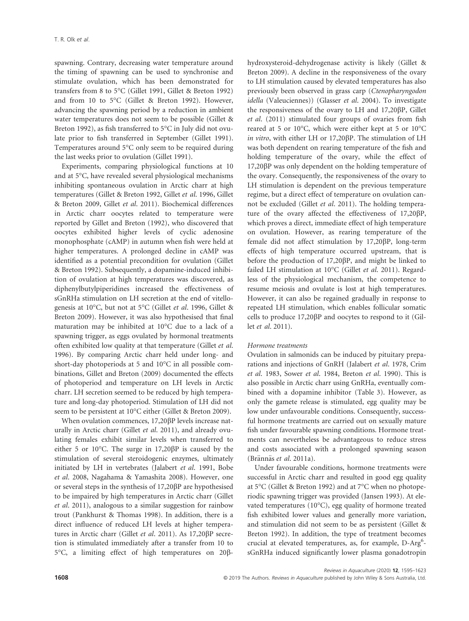spawning. Contrary, decreasing water temperature around the timing of spawning can be used to synchronise and stimulate ovulation, which has been demonstrated for transfers from 8 to 5°C (Gillet 1991, Gillet & Breton 1992) and from 10 to 5°C (Gillet & Breton 1992). However, advancing the spawning period by a reduction in ambient water temperatures does not seem to be possible (Gillet & Breton 1992), as fish transferred to 5°C in July did not ovulate prior to fish transferred in September (Gillet 1991). Temperatures around 5°C only seem to be required during the last weeks prior to ovulation (Gillet 1991).

Experiments, comparing physiological functions at 10 and at 5°C, have revealed several physiological mechanisms inhibiting spontaneous ovulation in Arctic charr at high temperatures (Gillet & Breton 1992, Gillet et al. 1996, Gillet & Breton 2009, Gillet et al. 2011). Biochemical differences in Arctic charr oocytes related to temperature were reported by Gillet and Breton (1992), who discovered that oocytes exhibited higher levels of cyclic adenosine monophosphate (cAMP) in autumn when fish were held at higher temperatures. A prolonged decline in cAMP was identified as a potential precondition for ovulation (Gillet & Breton 1992). Subsequently, a dopamine-induced inhibition of ovulation at high temperatures was discovered, as diphenylbutylpiperidines increased the effectiveness of sGnRHa stimulation on LH secretion at the end of vitellogenesis at 10°C, but not at 5°C (Gillet et al. 1996, Gillet & Breton 2009). However, it was also hypothesised that final maturation may be inhibited at 10°C due to a lack of a spawning trigger, as eggs ovulated by hormonal treatments often exhibited low quality at that temperature (Gillet et al. 1996). By comparing Arctic charr held under long- and short-day photoperiods at 5 and 10°C in all possible combinations, Gillet and Breton (2009) documented the effects of photoperiod and temperature on LH levels in Arctic charr. LH secretion seemed to be reduced by high temperature and long-day photoperiod. Stimulation of LH did not seem to be persistent at 10°C either (Gillet & Breton 2009).

When ovulation commences, 17,20 $\beta$ P levels increase naturally in Arctic charr (Gillet et al. 2011), and already ovulating females exhibit similar levels when transferred to either 5 or 10 $^{\circ}$ C. The surge in 17,20 $\beta$ P is caused by the stimulation of several steroidogenic enzymes, ultimately initiated by LH in vertebrates (Jalabert et al. 1991, Bobe et al. 2008, Nagahama & Yamashita 2008). However, one or several steps in the synthesis of  $17,20\beta$ P are hypothesised to be impaired by high temperatures in Arctic charr (Gillet et al. 2011), analogous to a similar suggestion for rainbow trout (Pankhurst & Thomas 1998). In addition, there is a direct influence of reduced LH levels at higher temperatures in Arctic charr (Gillet et al. 2011). As 17,20 $\beta$ P secretion is stimulated immediately after a transfer from 10 to 5°C, a limiting effect of high temperatures on 20bhydroxysteroid-dehydrogenase activity is likely (Gillet & Breton 2009). A decline in the responsiveness of the ovary to LH stimulation caused by elevated temperatures has also previously been observed in grass carp (Ctenopharyngodon idella (Valeuciennes)) (Glasser et al. 2004). To investigate the responsiveness of the ovary to LH and 17,20 $\beta P$ , Gillet et al. (2011) stimulated four groups of ovaries from fish reared at 5 or 10°C, which were either kept at 5 or 10°C in vitro, with either LH or  $17,20\beta$ P. The stimulation of LH was both dependent on rearing temperature of the fish and holding temperature of the ovary, while the effect of 17,20βP was only dependent on the holding temperature of the ovary. Consequently, the responsiveness of the ovary to LH stimulation is dependent on the previous temperature regime, but a direct effect of temperature on ovulation cannot be excluded (Gillet et al. 2011). The holding temperature of the ovary affected the effectiveness of 17,20 $\beta$ P, which proves a direct, immediate effect of high temperature on ovulation. However, as rearing temperature of the female did not affect stimulation by  $17,20\beta$ P, long-term effects of high temperature occurred upstream, that is before the production of  $17,20\beta P$ , and might be linked to failed LH stimulation at 10°C (Gillet et al. 2011). Regardless of the physiological mechanism, the competence to resume meiosis and ovulate is lost at high temperatures. However, it can also be regained gradually in response to repeated LH stimulation, which enables follicular somatic cells to produce  $17,20\beta$ P and oocytes to respond to it (Gillet et al. 2011).

# Hormone treatments

Ovulation in salmonids can be induced by pituitary preparations and injections of GnRH (Jalabert et al. 1978, Crim et al. 1983, Sower et al. 1984, Breton et al. 1990). This is also possible in Arctic charr using GnRHa, eventually combined with a dopamine inhibitor (Table 3). However, as only the gamete release is stimulated, egg quality may be low under unfavourable conditions. Consequently, successful hormone treatments are carried out on sexually mature fish under favourable spawning conditions. Hormone treatments can nevertheless be advantageous to reduce stress and costs associated with a prolonged spawning season (Brännäs et al. 2011a).

Under favourable conditions, hormone treatments were successful in Arctic charr and resulted in good egg quality at 5°C (Gillet & Breton 1992) and at 7°C when no photoperiodic spawning trigger was provided (Jansen 1993). At elevated temperatures (10°C), egg quality of hormone treated fish exhibited lower values and generally more variation, and stimulation did not seem to be as persistent (Gillet & Breton 1992). In addition, the type of treatment becomes crucial at elevated temperatures, as, for example, D-Arg<sup>6</sup>sGnRHa induced significantly lower plasma gonadotropin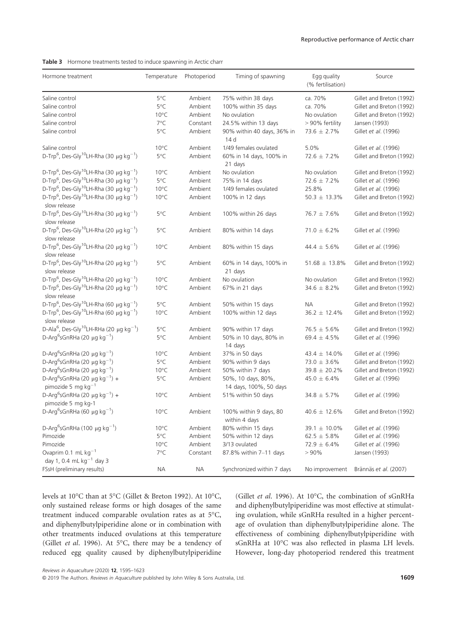|  | Table 3 Hormone treatments tested to induce spawning in Arctic charr |  |  |  |  |  |  |  |  |
|--|----------------------------------------------------------------------|--|--|--|--|--|--|--|--|
|--|----------------------------------------------------------------------|--|--|--|--|--|--|--|--|

| Hormone treatment                                                                                | Temperature    | Photoperiod | Timing of spawning                            | Egg quality<br>(% fertilisation) | Source                   |
|--------------------------------------------------------------------------------------------------|----------------|-------------|-----------------------------------------------|----------------------------------|--------------------------|
| Saline control                                                                                   | 5°C            | Ambient     | 75% within 38 days                            | ca. 70%                          | Gillet and Breton (1992) |
| Saline control                                                                                   | 5°C            | Ambient     | 100% within 35 days                           | ca. 70%                          | Gillet and Breton (1992) |
| Saline control                                                                                   | $10^{\circ}$ C | Ambient     | No ovulation                                  | No ovulation                     | Gillet and Breton (1992) |
| Saline control                                                                                   | 7°C            | Constant    | 24.5% within 13 days                          | > 90% fertility                  | Jansen (1993)            |
| Saline control                                                                                   | 5°C            | Ambient     | 90% within 40 days, 36% in<br>14 <sub>d</sub> | $73.6 \pm 2.7\%$                 | Gillet et al. (1996)     |
| Saline control                                                                                   | $10^{\circ}$ C | Ambient     | 1/49 females ovulated                         | 5.0%                             | Gillet et al. (1996)     |
| D-Trp <sup>6</sup> , Des-Gly <sup>10</sup> LH-Rha (30 µg kg <sup>-1</sup> )                      | 5°C            | Ambient     | 60% in 14 days, 100% in<br>21 days            | $72.6 \pm 7.2\%$                 | Gillet and Breton (1992) |
| D-Trp <sup>6</sup> , Des-Gly <sup>10</sup> LH-Rha (30 µg kg <sup>-1</sup> )                      | $10^{\circ}$ C | Ambient     | No ovulation                                  | No ovulation                     | Gillet and Breton (1992) |
| D-Trp <sup>6</sup> , Des-Gly <sup>10</sup> LH-Rha (30 µg kg <sup>-1</sup> )                      | 5°C            | Ambient     | 75% in 14 days                                | $72.6 \pm 7.2\%$                 | Gillet et al. (1996)     |
| D-Trp <sup>6</sup> , Des-Gly <sup>10</sup> LH-Rha (30 µg kg <sup>-1</sup> )                      | $10^{\circ}$ C | Ambient     | 1/49 females ovulated                         | 25.8%                            | Gillet et al. (1996)     |
| D-Trp <sup>6</sup> , Des-Gly <sup>10</sup> LH-Rha (30 µg kg <sup>-1</sup> )<br>slow release      | $10^{\circ}$ C | Ambient     | 100% in 12 days                               | $50.3 \pm 13.3\%$                | Gillet and Breton (1992) |
| D-Trp <sup>6</sup> , Des-Gly <sup>10</sup> LH-Rha (30 µg kg <sup>-1</sup> )<br>slow release      | 5°C            | Ambient     | 100% within 26 days                           | $76.7 \pm 7.6\%$                 | Gillet and Breton (1992) |
| D-Trp <sup>6</sup> , Des-Gly <sup>10</sup> LH-Rha (20 $\mu$ g kg <sup>-1</sup> )<br>slow release | 5°C            | Ambient     | 80% within 14 days                            | $71.0 \pm 6.2\%$                 | Gillet et al. (1996)     |
| D-Trp <sup>6</sup> , Des-Gly <sup>10</sup> LH-Rha (20 $\mu$ g kg <sup>-1</sup> )<br>slow release | $10^{\circ}$ C | Ambient     | 80% within 15 days                            | 44.4 $\pm$ 5.6%                  | Gillet et al. (1996)     |
| D-Trp <sup>6</sup> , Des-Gly <sup>10</sup> LH-Rha (20 $\mu$ g kg <sup>-1</sup> )<br>slow release | 5°C            | Ambient     | 60% in 14 days, 100% in<br>21 days            | 51.68 $\pm$ 13.8%                | Gillet and Breton (1992) |
| D-Trp <sup>6</sup> , Des-Gly <sup>10</sup> LH-Rha (20 $\mu$ g kg <sup>-1</sup> )                 | $10^{\circ}$ C | Ambient     | No ovulation                                  | No ovulation                     | Gillet and Breton (1992) |
| D-Trp <sup>6</sup> , Des-Gly <sup>10</sup> LH-Rha (20 $\mu$ g kg <sup>-1</sup> )<br>slow release | $10^{\circ}$ C | Ambient     | 67% in 21 days                                | $34.6 \pm 8.2\%$                 | Gillet and Breton (1992) |
| D-Trp <sup>6</sup> , Des-Gly <sup>10</sup> LH-Rha (60 µg kg <sup>-1</sup> )                      | 5°C            | Ambient     | 50% within 15 days                            | <b>NA</b>                        | Gillet and Breton (1992) |
| D-Trp <sup>6</sup> , Des-Gly <sup>10</sup> LH-Rha (60 µg kg <sup>-1</sup> )<br>slow release      | $10^{\circ}$ C | Ambient     | 100% within 12 days                           | $36.2 \pm 12.4\%$                | Gillet and Breton (1992) |
| D-Ala <sup>6</sup> , Des-Gly <sup>10</sup> LH-RHa (20 $\mu$ g kg <sup>-1</sup> )                 | 5°C            | Ambient     | 90% within 17 days                            | $76.5 \pm 5.6\%$                 | Gillet and Breton (1992) |
| D-Arg <sup>6</sup> sGnRHa (20 $\mu$ g kg <sup>-1</sup> )                                         | 5°C            | Ambient     | 50% in 10 days, 80% in<br>14 days             | 69.4 $\pm$ 4.5%                  | Gillet et al. (1996)     |
| D-Arg <sup>6</sup> sGnRHa (20 $\mu$ g kg <sup>-1</sup> )                                         | $10^{\circ}$ C | Ambient     | 37% in 50 days                                | 43.4 ± 14.0%                     | Gillet et al. (1996)     |
| D-Arg <sup>6</sup> sGnRHa (20 $\mu$ g kg <sup>-1</sup> )                                         | 5°C            | Ambient     | 90% within 9 days                             | $73.0 \pm 3.6\%$                 | Gillet and Breton (1992) |
| D-Arg <sup>6</sup> sGnRHa (20 $\mu$ g kg <sup>-1</sup> )                                         | $10^{\circ}$ C | Ambient     | 50% within 7 days                             | $39.8 \pm 20.2\%$                | Gillet and Breton (1992) |
| D-Arg <sup>6</sup> sGnRHa (20 $\mu$ g kg <sup>-1</sup> ) +<br>pimozide 5 mg $kg^{-1}$            | 5°C            | Ambient     | 50%, 10 days, 80%,<br>14 days, 100%, 50 days  | $45.0 \pm 6.4\%$                 | Gillet et al. (1996)     |
| D-Arg <sup>6</sup> sGnRHa (20 µg kg <sup>-1</sup> ) +<br>pimozide 5 mg kg-1                      | $10^{\circ}$ C | Ambient     | 51% within 50 days                            | $34.8 \pm 5.7\%$                 | Gillet et al. (1996)     |
| D-Arg <sup>6</sup> sGnRHa (60 µg kg <sup>-1</sup> )                                              | $10^{\circ}$ C | Ambient     | 100% within 9 days, 80<br>within 4 days       | $40.6 \pm 12.6\%$                | Gillet and Breton (1992) |
| D-Arg <sup>6</sup> sGnRHa (100 µg kg <sup>-1</sup> )                                             | $10^{\circ}$ C | Ambient     | 80% within 15 days                            | 39.1 $\pm$ 10.0%                 | Gillet et al. (1996)     |
| Pimozide                                                                                         | 5°C            | Ambient     | 50% within 12 days                            | $62.5 \pm 5.8\%$                 | Gillet et al. (1996)     |
| Pimozide                                                                                         | $10^{\circ}$ C | Ambient     | 3/13 ovulated                                 | $72.9 \pm 6.4\%$                 | Gillet et al. (1996)     |
| Ovaprim 0.1 mL kg <sup>-1</sup>                                                                  | $7^{\circ}$ C  | Constant    | 87.8% within 7-11 days                        | > 90%                            | Jansen (1993)            |
| day 1, 0.4 mL $kg^{-1}$ day 3                                                                    |                |             |                                               |                                  |                          |
| FSsH (preliminary results)                                                                       | <b>NA</b>      | <b>NA</b>   | Synchronized within 7 days                    | No improvement                   | Brännäs et al. (2007)    |

levels at 10°C than at 5°C (Gillet & Breton 1992). At 10°C, only sustained release forms or high dosages of the same treatment induced comparable ovulation rates as at 5°C, and diphenylbutylpiperidine alone or in combination with other treatments induced ovulations at this temperature (Gillet et al. 1996). At 5°C, there may be a tendency of reduced egg quality caused by diphenylbutylpiperidine (Gillet et al. 1996). At 10°C, the combination of sGnRHa and diphenylbutylpiperidine was most effective at stimulating ovulation, while sGnRHa resulted in a higher percentage of ovulation than diphenylbutylpiperidine alone. The effectiveness of combining diphenylbutylpiperidine with sGnRHa at 10°C was also reflected in plasma LH levels. However, long-day photoperiod rendered this treatment

Reviews in Aquaculture (2020) 12, 1595–1623

© 2019 The Authors. Reviews in Aquaculture published by John Wiley & Sons Australia, Ltd. 1609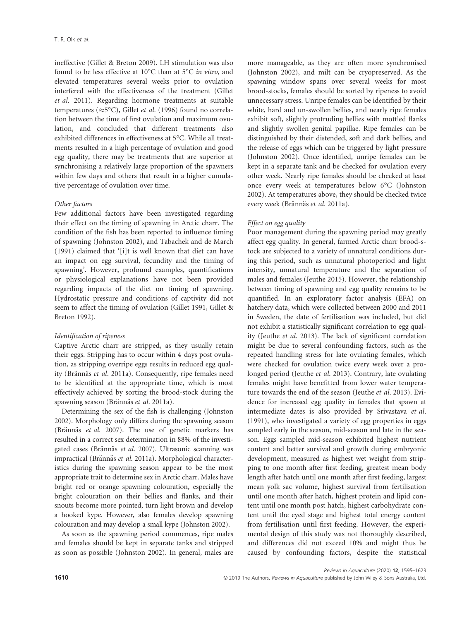ineffective (Gillet & Breton 2009). LH stimulation was also found to be less effective at 10°C than at 5°C in vitro, and elevated temperatures several weeks prior to ovulation interfered with the effectiveness of the treatment (Gillet et al. 2011). Regarding hormone treatments at suitable temperatures ( $\approx$ 5°C), Gillet *et al.* (1996) found no correlation between the time of first ovulation and maximum ovulation, and concluded that different treatments also exhibited differences in effectiveness at 5°C. While all treatments resulted in a high percentage of ovulation and good egg quality, there may be treatments that are superior at synchronising a relatively large proportion of the spawners within few days and others that result in a higher cumulative percentage of ovulation over time.

# Other factors

Few additional factors have been investigated regarding their effect on the timing of spawning in Arctic charr. The condition of the fish has been reported to influence timing of spawning (Johnston 2002), and Tabachek and de March (1991) claimed that '[i]t is well known that diet can have an impact on egg survival, fecundity and the timing of spawning'. However, profound examples, quantifications or physiological explanations have not been provided regarding impacts of the diet on timing of spawning. Hydrostatic pressure and conditions of captivity did not seem to affect the timing of ovulation (Gillet 1991, Gillet & Breton 1992).

#### Identification of ripeness

Captive Arctic charr are stripped, as they usually retain their eggs. Stripping has to occur within 4 days post ovulation, as stripping overripe eggs results in reduced egg quality (Brännäs et al. 2011a). Consequently, ripe females need to be identified at the appropriate time, which is most effectively achieved by sorting the brood-stock during the spawning season (Brännäs et al. 2011a).

Determining the sex of the fish is challenging (Johnston 2002). Morphology only differs during the spawning season (Brännäs et al. 2007). The use of genetic markers has resulted in a correct sex determination in 88% of the investigated cases (Brännäs et al. 2007). Ultrasonic scanning was impractical (Brännäs et al. 2011a). Morphological characteristics during the spawning season appear to be the most appropriate trait to determine sex in Arctic charr. Males have bright red or orange spawning colouration, especially the bright colouration on their bellies and flanks, and their snouts become more pointed, turn light brown and develop a hooked kype. However, also females develop spawning colouration and may develop a small kype (Johnston 2002).

As soon as the spawning period commences, ripe males and females should be kept in separate tanks and stripped as soon as possible (Johnston 2002). In general, males are more manageable, as they are often more synchronised (Johnston 2002), and milt can be cryopreserved. As the spawning window spans over several weeks for most brood-stocks, females should be sorted by ripeness to avoid unnecessary stress. Unripe females can be identified by their white, hard and un-swollen bellies, and nearly ripe females exhibit soft, slightly protruding bellies with mottled flanks and slightly swollen genital papillae. Ripe females can be distinguished by their distended, soft and dark bellies, and the release of eggs which can be triggered by light pressure (Johnston 2002). Once identified, unripe females can be kept in a separate tank and be checked for ovulation every other week. Nearly ripe females should be checked at least once every week at temperatures below 6°C (Johnston 2002). At temperatures above, they should be checked twice every week (Brännäs et al. 2011a).

#### Effect on egg quality

Poor management during the spawning period may greatly affect egg quality. In general, farmed Arctic charr brood-stock are subjected to a variety of unnatural conditions during this period, such as unnatural photoperiod and light intensity, unnatural temperature and the separation of males and females (Jeuthe 2015). However, the relationship between timing of spawning and egg quality remains to be quantified. In an exploratory factor analysis (EFA) on hatchery data, which were collected between 2000 and 2011 in Sweden, the date of fertilisation was included, but did not exhibit a statistically significant correlation to egg quality (Jeuthe et al. 2013). The lack of significant correlation might be due to several confounding factors, such as the repeated handling stress for late ovulating females, which were checked for ovulation twice every week over a prolonged period (Jeuthe et al. 2013). Contrary, late ovulating females might have benefitted from lower water temperature towards the end of the season (Jeuthe et al. 2013). Evidence for increased egg quality in females that spawn at intermediate dates is also provided by Srivastava et al. (1991), who investigated a variety of egg properties in eggs sampled early in the season, mid-season and late in the season. Eggs sampled mid-season exhibited highest nutrient content and better survival and growth during embryonic development, measured as highest wet weight from stripping to one month after first feeding, greatest mean body length after hatch until one month after first feeding, largest mean yolk sac volume, highest survival from fertilisation until one month after hatch, highest protein and lipid content until one month post hatch, highest carbohydrate content until the eyed stage and highest total energy content from fertilisation until first feeding. However, the experimental design of this study was not thoroughly described, and differences did not exceed 10% and might thus be caused by confounding factors, despite the statistical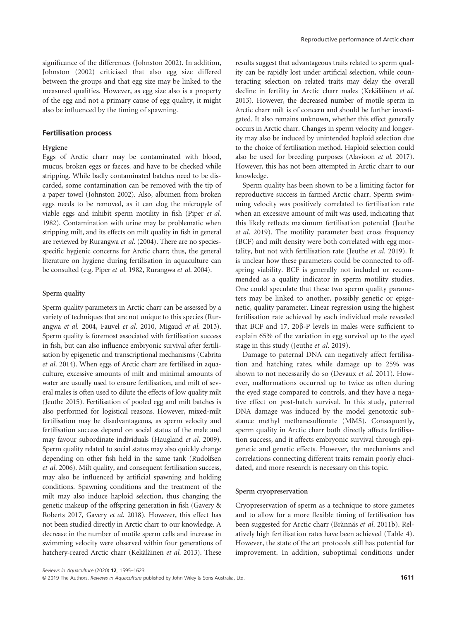significance of the differences (Johnston 2002). In addition, Johnston (2002) criticised that also egg size differed between the groups and that egg size may be linked to the measured qualities. However, as egg size also is a property of the egg and not a primary cause of egg quality, it might also be influenced by the timing of spawning.

# Fertilisation process

# Hygiene

Eggs of Arctic charr may be contaminated with blood, mucus, broken eggs or faeces, and have to be checked while stripping. While badly contaminated batches need to be discarded, some contamination can be removed with the tip of a paper towel (Johnston 2002). Also, albumen from broken eggs needs to be removed, as it can clog the micropyle of viable eggs and inhibit sperm motility in fish (Piper et al. 1982). Contamination with urine may be problematic when stripping milt, and its effects on milt quality in fish in general are reviewed by Rurangwa et al. (2004). There are no speciesspecific hygienic concerns for Arctic charr; thus, the general literature on hygiene during fertilisation in aquaculture can be consulted (e.g. Piper et al. 1982, Rurangwa et al. 2004).

# Sperm quality

Sperm quality parameters in Arctic charr can be assessed by a variety of techniques that are not unique to this species (Rurangwa et al. 2004, Fauvel et al. 2010, Migaud et al. 2013). Sperm quality is foremost associated with fertilisation success in fish, but can also influence embryonic survival after fertilisation by epigenetic and transcriptional mechanisms (Cabrita et al. 2014). When eggs of Arctic charr are fertilised in aquaculture, excessive amounts of milt and minimal amounts of water are usually used to ensure fertilisation, and milt of several males is often used to dilute the effects of low quality milt (Jeuthe 2015). Fertilisation of pooled egg and milt batches is also performed for logistical reasons. However, mixed-milt fertilisation may be disadvantageous, as sperm velocity and fertilisation success depend on social status of the male and may favour subordinate individuals (Haugland et al. 2009). Sperm quality related to social status may also quickly change depending on other fish held in the same tank (Rudolfsen et al. 2006). Milt quality, and consequent fertilisation success, may also be influenced by artificial spawning and holding conditions. Spawning conditions and the treatment of the milt may also induce haploid selection, thus changing the genetic makeup of the offspring generation in fish (Gavery & Roberts 2017, Gavery et al. 2018). However, this effect has not been studied directly in Arctic charr to our knowledge. A decrease in the number of motile sperm cells and increase in swimming velocity were observed within four generations of hatchery-reared Arctic charr (Kekäläinen et al. 2013). These

results suggest that advantageous traits related to sperm quality can be rapidly lost under artificial selection, while counteracting selection on related traits may delay the overall decline in fertility in Arctic charr males (Kekäläinen et al. 2013). However, the decreased number of motile sperm in Arctic charr milt is of concern and should be further investigated. It also remains unknown, whether this effect generally occurs in Arctic charr. Changes in sperm velocity and longevity may also be induced by unintended haploid selection due to the choice of fertilisation method. Haploid selection could also be used for breeding purposes (Alavioon et al. 2017). However, this has not been attempted in Arctic charr to our knowledge.

Sperm quality has been shown to be a limiting factor for reproductive success in farmed Arctic charr. Sperm swimming velocity was positively correlated to fertilisation rate when an excessive amount of milt was used, indicating that this likely reflects maximum fertilisation potential (Jeuthe et al. 2019). The motility parameter beat cross frequency (BCF) and milt density were both correlated with egg mortality, but not with fertilisation rate (Jeuthe et al. 2019). It is unclear how these parameters could be connected to offspring viability. BCF is generally not included or recommended as a quality indicator in sperm motility studies. One could speculate that these two sperm quality parameters may be linked to another, possibly genetic or epigenetic, quality parameter. Linear regression using the highest fertilisation rate achieved by each individual male revealed that BCF and 17, 20β-P levels in males were sufficient to explain 65% of the variation in egg survival up to the eyed stage in this study (Jeuthe et al. 2019).

Damage to paternal DNA can negatively affect fertilisation and hatching rates, while damage up to 25% was shown to not necessarily do so (Devaux et al. 2011). However, malformations occurred up to twice as often during the eyed stage compared to controls, and they have a negative effect on post-hatch survival. In this study, paternal DNA damage was induced by the model genotoxic substance methyl methanesulfonate (MMS). Consequently, sperm quality in Arctic charr both directly affects fertilisation success, and it affects embryonic survival through epigenetic and genetic effects. However, the mechanisms and correlations connecting different traits remain poorly elucidated, and more research is necessary on this topic.

### Sperm cryopreservation

Cryopreservation of sperm as a technique to store gametes and to allow for a more flexible timing of fertilisation has been suggested for Arctic charr (Brännäs et al. 2011b). Relatively high fertilisation rates have been achieved (Table 4). However, the state of the art protocols still has potential for improvement. In addition, suboptimal conditions under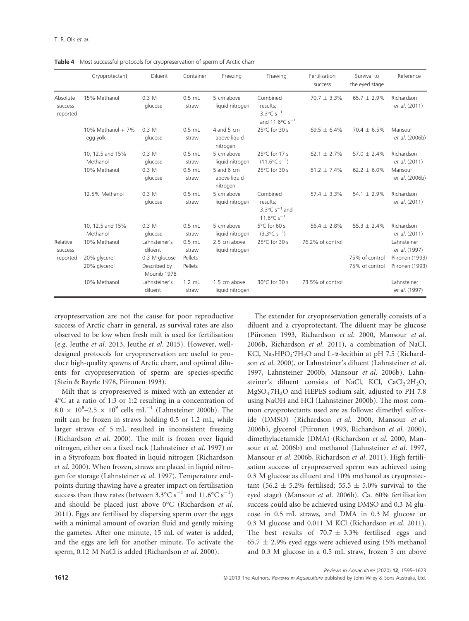Table 4 Most successful protocols for cryopreservation of sperm of Arctic charr

|                                 | Cryoprotectant                  | <b>Diluent</b>                               | Container          | Freezing                                 | Thawing                                                                                           | Fertilisation<br>success | Survival to<br>the eyed stage    | Reference                          |
|---------------------------------|---------------------------------|----------------------------------------------|--------------------|------------------------------------------|---------------------------------------------------------------------------------------------------|--------------------------|----------------------------------|------------------------------------|
| Absolute<br>success<br>reported | 15% Methanol                    | 0.3 M<br>glucose                             | $0.5$ mL<br>straw  | 5 cm above<br>liquid nitrogen            | Combined<br>results;<br>3.3 $^{\circ}$ C s <sup>-1</sup><br>and 11.6 $^{\circ}$ C s <sup>-1</sup> | $70.7 \pm 3.3\%$         | $65.7 \pm 2.9\%$                 | Richardson<br>et al. (2011)        |
|                                 | 10% Methanol + $7%$<br>egg yolk | 0.3 M<br>glucose                             | $0.5$ mL<br>straw  | 4 and 5 $cm$<br>above liquid<br>nitrogen | 25°C for 30 s                                                                                     | $69.5 \pm 6.4\%$         | $70.4 + 6.5%$                    | Mansour<br>et al. (2006b)          |
|                                 | 10, 12.5 and 15%<br>Methanol    | 0.3 M<br>glucose                             | $0.5$ mL<br>straw  | 5 cm above<br>liquid nitrogen            | 25°C for 17 s<br>$(11.6^{\circ}C s^{-1})$                                                         | $62.1 \pm 2.7\%$         | $57.0 \pm 2.4\%$                 | Richardson<br>et al. (2011)        |
|                                 | 10% Methanol                    | 0.3 M<br>glucose                             | $0.5$ mL<br>straw  | 5 and 6 cm<br>above liquid<br>nitrogen   | 25°C for 30 s                                                                                     | 61.2 $\pm$ 7.4%          | $62.2 \pm 6.0\%$                 | Mansour<br>et al. (2006b)          |
|                                 | 12.5% Methanol                  | 0.3 M<br>glucose                             | $0.5$ mL<br>straw  | 5 cm above<br>liquid nitrogen            | Combined<br>results;<br>3.3 $\degree$ C s <sup>-1</sup> and<br>11.6 $\degree$ C s <sup>-1</sup>   | 57.4 $\pm$ 3.3%          | 54.1 $\pm$ 2.9%                  | Richardson<br>et al. (2011)        |
|                                 | 10, 12.5 and 15%<br>Methanol    | 0.3 M<br>glucose                             | $0.5$ mL<br>straw  | 5 cm above<br>liquid nitrogen            | 5°C for 60 s<br>$(3.3^{\circ}C s^{-1})$                                                           | 56.4 $\pm$ 2.8%          | $55.3 \pm 2.4\%$                 | Richardson<br>et al. (2011)        |
| Relative<br>success             | 10% Methanol                    | Lahnsteiner's<br>diluent                     | $0.5$ mL<br>straw  | 2.5 cm above<br>liquid nitrogen          | 25°C for 30 s                                                                                     | 76.2% of control         |                                  | Lahnsteiner<br>et al. (1997)       |
| reported                        | 20% glycerol<br>20% glycerol    | 0.3 M glucose<br>Described by<br>Mounib 1978 | Pellets<br>Pellets |                                          |                                                                                                   |                          | 75% of control<br>75% of control | Piironen (1993)<br>Piironen (1993) |
|                                 | 10% Methanol                    | Lahnsteiner's<br>diluent                     | $1.2$ mL<br>straw  | 1.5 cm above<br>liquid nitrogen          | 30°C for 30 s                                                                                     | 73.5% of control         |                                  | Lahnsteiner<br>et al. (1997)       |

cryopreservation are not the cause for poor reproductive success of Arctic charr in general, as survival rates are also observed to be low when fresh milt is used for fertilisation (e.g. Jeuthe et al. 2013, Jeuthe et al. 2015). However, welldesigned protocols for cryopreservation are useful to produce high-quality spawns of Arctic charr, and optimal diluents for cryopreservation of sperm are species-specific (Stein & Bayrle 1978, Piironen 1993).

Milt that is cryopreserved is mixed with an extender at 4°C at a ratio of 1:3 or 1:2 resulting in a concentration of  $8.0 \times 10^8$  –2.5  $\times 10^9$  cells mL<sup>-1</sup> (Lahnsteiner 2000b). The milt can be frozen in straws holding 0.5 or 1.2 mL, while larger straws of 5 mL resulted in inconsistent freezing (Richardson et al. 2000). The milt is frozen over liquid nitrogen, either on a fixed rack (Lahnsteiner et al. 1997) or in a Styrofoam box floated in liquid nitrogen (Richardson et al. 2000). When frozen, straws are placed in liquid nitrogen for storage (Lahnsteiner et al. 1997). Temperature endpoints during thawing have a greater impact on fertilisation success than thaw rates (between  $3.3^{\circ}\text{C s}^{-1}$  and  $11.6^{\circ}\text{C s}^{-1}$ ) and should be placed just above 0°C (Richardson et al. 2011). Eggs are fertilised by dispersing sperm over the eggs with a minimal amount of ovarian fluid and gently mixing the gametes. After one minute, 15 mL of water is added, and the eggs are left for another minute. To activate the sperm, 0.12 M NaCl is added (Richardson et al. 2000).

The extender for cryopreservation generally consists of a diluent and a cryoprotectant. The diluent may be glucose (Piironen 1993, Richardson et al. 2000, Mansour et al. 2006b, Richardson et al. 2011), a combination of NaCl, KCl, Na<sub>2</sub>HPO<sub>4</sub><sup>-7H</sup><sub>2</sub>O and L-α-lecithin at pH 7.5 (Richardson et al. 2000), or Lahnsteiner's diluent (Lahnsteiner et al. 1997, Lahnsteiner 2000b, Mansour et al. 2006b). Lahnsteiner's diluent consists of NaCl, KCl, CaCl<sub>2</sub>'2H<sub>2</sub>O, MgSO4 . 7H2O and HEPES sodium salt, adjusted to PH 7.8 using NaOH and HCl (Lahnsteiner 2000b). The most common cryoprotectants used are as follows: dimethyl sulfoxide (DMSO) (Richardson et al. 2000, Mansour et al. 2006b), glycerol (Piironen 1993, Richardson et al. 2000), dimethylacetamide (DMA) (Richardson et al. 2000, Mansour et al. 2006b) and methanol (Lahnsteiner et al. 1997, Mansour et al. 2006b, Richardson et al. 2011). High fertilisation success of cryopreserved sperm was achieved using 0.3 M glucose as diluent and 10% methanol as cryoprotectant (56.2  $\pm$  5.2% fertilised; 55.5  $\pm$  5.0% survival to the eyed stage) (Mansour et al. 2006b). Ca. 60% fertilisation success could also be achieved using DMSO and 0.3 M glucose in 0.5 mL straws, and DMA in 0.3 M glucose or 0.3 M glucose and 0.011 M KCl (Richardson et al. 2011). The best results of  $70.7 \pm 3.3\%$  fertilised eggs and 65.7  $\pm$  2.9% eyed eggs were achieved using 15% methanol and 0.3 M glucose in a 0.5 mL straw, frozen 5 cm above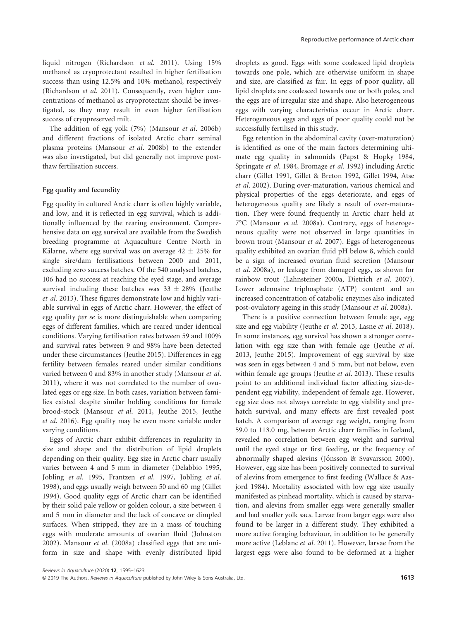liquid nitrogen (Richardson et al. 2011). Using 15% methanol as cryoprotectant resulted in higher fertilisation success than using 12.5% and 10% methanol, respectively (Richardson et al. 2011). Consequently, even higher concentrations of methanol as cryoprotectant should be investigated, as they may result in even higher fertilisation success of cryopreserved milt.

The addition of egg yolk (7%) (Mansour et al. 2006b) and different fractions of isolated Arctic charr seminal plasma proteins (Mansour et al. 2008b) to the extender was also investigated, but did generally not improve postthaw fertilisation success.

#### Egg quality and fecundity

Egg quality in cultured Arctic charr is often highly variable, and low, and it is reflected in egg survival, which is additionally influenced by the rearing environment. Comprehensive data on egg survival are available from the Swedish breeding programme at Aquaculture Centre North in Kälarne, where egg survival was on average  $42 \pm 25\%$  for single sire/dam fertilisations between 2000 and 2011, excluding zero success batches. Of the 540 analysed batches, 106 had no success at reaching the eyed stage, and average survival including these batches was  $33 \pm 28\%$  (Jeuthe et al. 2013). These figures demonstrate low and highly variable survival in eggs of Arctic charr. However, the effect of egg quality per se is more distinguishable when comparing eggs of different families, which are reared under identical conditions. Varying fertilisation rates between 59 and 100% and survival rates between 9 and 98% have been detected under these circumstances (Jeuthe 2015). Differences in egg fertility between females reared under similar conditions varied between 0 and 83% in another study (Mansour et al. 2011), where it was not correlated to the number of ovulated eggs or egg size. In both cases, variation between families existed despite similar holding conditions for female brood-stock (Mansour et al. 2011, Jeuthe 2015, Jeuthe et al. 2016). Egg quality may be even more variable under varying conditions.

Eggs of Arctic charr exhibit differences in regularity in size and shape and the distribution of lipid droplets depending on their quality. Egg size in Arctic charr usually varies between 4 and 5 mm in diameter (Delabbio 1995, Jobling et al. 1995, Frantzen et al. 1997, Jobling et al. 1998), and eggs usually weigh between 50 and 60 mg (Gillet 1994). Good quality eggs of Arctic charr can be identified by their solid pale yellow or golden colour, a size between 4 and 5 mm in diameter and the lack of concave or dimpled surfaces. When stripped, they are in a mass of touching eggs with moderate amounts of ovarian fluid (Johnston 2002). Mansour et al. (2008a) classified eggs that are uniform in size and shape with evenly distributed lipid

droplets as good. Eggs with some coalesced lipid droplets towards one pole, which are otherwise uniform in shape and size, are classified as fair. In eggs of poor quality, all lipid droplets are coalesced towards one or both poles, and the eggs are of irregular size and shape. Also heterogeneous eggs with varying characteristics occur in Arctic charr. Heterogeneous eggs and eggs of poor quality could not be successfully fertilised in this study.

Egg retention in the abdominal cavity (over-maturation) is identified as one of the main factors determining ultimate egg quality in salmonids (Papst & Hopky 1984, Springate et al. 1984, Bromage et al. 1992) including Arctic charr (Gillet 1991, Gillet & Breton 1992, Gillet 1994, Atse et al. 2002). During over-maturation, various chemical and physical properties of the eggs deteriorate, and eggs of heterogeneous quality are likely a result of over-maturation. They were found frequently in Arctic charr held at 7°C (Mansour et al. 2008a). Contrary, eggs of heterogeneous quality were not observed in large quantities in brown trout (Mansour et al. 2007). Eggs of heterogeneous quality exhibited an ovarian fluid pH below 8, which could be a sign of increased ovarian fluid secretion (Mansour et al. 2008a), or leakage from damaged eggs, as shown for rainbow trout (Lahnsteiner 2000a, Dietrich et al. 2007). Lower adenosine triphosphate (ATP) content and an increased concentration of catabolic enzymes also indicated post-ovulatory ageing in this study (Mansour et al. 2008a).

There is a positive connection between female age, egg size and egg viability (Jeuthe et al. 2013, Lasne et al. 2018). In some instances, egg survival has shown a stronger correlation with egg size than with female age (Jeuthe et al. 2013, Jeuthe 2015). Improvement of egg survival by size was seen in eggs between 4 and 5 mm, but not below, even within female age groups (Jeuthe et al. 2013). These results point to an additional individual factor affecting size-dependent egg viability, independent of female age. However, egg size does not always correlate to egg viability and prehatch survival, and many effects are first revealed post hatch. A comparison of average egg weight, ranging from 59.0 to 113.0 mg, between Arctic charr families in Iceland, revealed no correlation between egg weight and survival until the eyed stage or first feeding, or the frequency of abnormally shaped alevins (Jónsson & Svavarsson 2000). However, egg size has been positively connected to survival of alevins from emergence to first feeding (Wallace & Aasjord 1984). Mortality associated with low egg size usually manifested as pinhead mortality, which is caused by starvation, and alevins from smaller eggs were generally smaller and had smaller yolk sacs. Larvae from larger eggs were also found to be larger in a different study. They exhibited a more active foraging behaviour, in addition to be generally more active (Leblanc et al. 2011). However, larvae from the largest eggs were also found to be deformed at a higher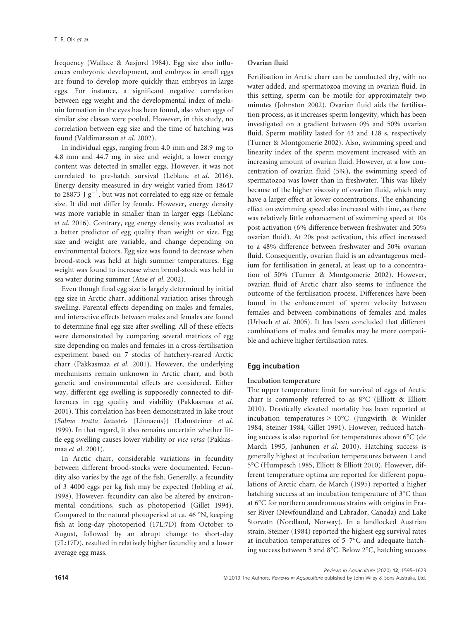frequency (Wallace & Aasjord 1984). Egg size also influences embryonic development, and embryos in small eggs are found to develop more quickly than embryos in large eggs. For instance, a significant negative correlation between egg weight and the developmental index of melanin formation in the eyes has been found, also when eggs of similar size classes were pooled. However, in this study, no correlation between egg size and the time of hatching was found (Valdimarsson et al. 2002).

In individual eggs, ranging from 4.0 mm and 28.9 mg to 4.8 mm and 44.7 mg in size and weight, a lower energy content was detected in smaller eggs. However, it was not correlated to pre-hatch survival (Leblanc et al. 2016). Energy density measured in dry weight varied from 18647 to 28873 J  $\mathrm{g}^{-1}$ , but was not correlated to egg size or female size. It did not differ by female. However, energy density was more variable in smaller than in larger eggs (Leblanc et al. 2016). Contrary, egg energy density was evaluated as a better predictor of egg quality than weight or size. Egg size and weight are variable, and change depending on environmental factors. Egg size was found to decrease when brood-stock was held at high summer temperatures. Egg weight was found to increase when brood-stock was held in sea water during summer (Atse et al. 2002).

Even though final egg size is largely determined by initial egg size in Arctic charr, additional variation arises through swelling. Parental effects depending on males and females, and interactive effects between males and females are found to determine final egg size after swelling. All of these effects were demonstrated by comparing several matrices of egg size depending on males and females in a cross-fertilisation experiment based on 7 stocks of hatchery-reared Arctic charr (Pakkasmaa et al. 2001). However, the underlying mechanisms remain unknown in Arctic charr, and both genetic and environmental effects are considered. Either way, different egg swelling is supposedly connected to differences in egg quality and viability (Pakkasmaa et al. 2001). This correlation has been demonstrated in lake trout (Salmo trutta lacustris (Linnaeus)) (Lahnsteiner et al. 1999). In that regard, it also remains uncertain whether little egg swelling causes lower viability or vice versa (Pakkasmaa et al. 2001).

In Arctic charr, considerable variations in fecundity between different brood-stocks were documented. Fecundity also varies by the age of the fish. Generally, a fecundity of 3–4000 eggs per kg fish may be expected (Jobling et al. 1998). However, fecundity can also be altered by environmental conditions, such as photoperiod (Gillet 1994). Compared to the natural photoperiod at ca. 46 °N, keeping fish at long-day photoperiod (17L:7D) from October to August, followed by an abrupt change to short-day (7L:17D), resulted in relatively higher fecundity and a lower average egg mass.

# Ovarian fluid

Fertilisation in Arctic charr can be conducted dry, with no water added, and spermatozoa moving in ovarian fluid. In this setting, sperm can be motile for approximately two minutes (Johnston 2002). Ovarian fluid aids the fertilisation process, as it increases sperm longevity, which has been investigated on a gradient between 0% and 50% ovarian fluid. Sperm motility lasted for 43 and 128 s, respectively (Turner & Montgomerie 2002). Also, swimming speed and linearity index of the sperm movement increased with an increasing amount of ovarian fluid. However, at a low concentration of ovarian fluid (5%), the swimming speed of spermatozoa was lower than in freshwater. This was likely because of the higher viscosity of ovarian fluid, which may have a larger effect at lower concentrations. The enhancing effect on swimming speed also increased with time, as there was relatively little enhancement of swimming speed at 10s post activation (6% difference between freshwater and 50% ovarian fluid). At 20s post activation, this effect increased to a 48% difference between freshwater and 50% ovarian fluid. Consequently, ovarian fluid is an advantageous medium for fertilisation in general, at least up to a concentration of 50% (Turner & Montgomerie 2002). However, ovarian fluid of Arctic charr also seems to influence the outcome of the fertilisation process. Differences have been found in the enhancement of sperm velocity between females and between combinations of females and males (Urbach et al. 2005). It has been concluded that different combinations of males and females may be more compatible and achieve higher fertilisation rates.

# Egg incubation

#### Incubation temperature

The upper temperature limit for survival of eggs of Arctic charr is commonly referred to as 8°C (Elliott & Elliott 2010). Drastically elevated mortality has been reported at incubation temperatures > 10°C (Jungwirth & Winkler 1984, Steiner 1984, Gillet 1991). However, reduced hatching success is also reported for temperatures above 6°C (de March 1995, Janhunen et al. 2010). Hatching success is generally highest at incubation temperatures between 1 and 5°C (Humpesch 1985, Elliott & Elliott 2010). However, different temperature optima are reported for different populations of Arctic charr. de March (1995) reported a higher hatching success at an incubation temperature of 3°C than at 6°C for northern anadromous strains with origins in Fraser River (Newfoundland and Labrador, Canada) and Lake Storvatn (Nordland, Norway). In a landlocked Austrian strain, Steiner (1984) reported the highest egg survival rates at incubation temperatures of 5–7°C and adequate hatching success between 3 and 8°C. Below 2°C, hatching success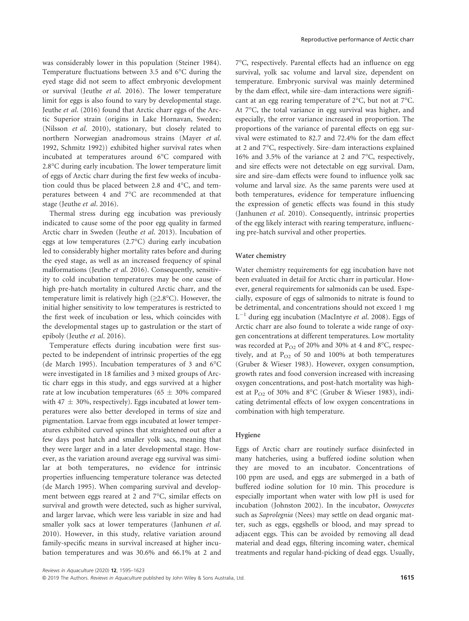was considerably lower in this population (Steiner 1984). Temperature fluctuations between 3.5 and 6°C during the eyed stage did not seem to affect embryonic development or survival (Jeuthe et al. 2016). The lower temperature limit for eggs is also found to vary by developmental stage. Jeuthe et al. (2016) found that Arctic charr eggs of the Arctic Superior strain (origins in Lake Hornavan, Sweden; (Nilsson et al. 2010), stationary, but closely related to northern Norwegian anadromous strains (Mayer et al. 1992, Schmitz 1992)) exhibited higher survival rates when incubated at temperatures around 6°C compared with 2.8°C during early incubation. The lower temperature limit of eggs of Arctic charr during the first few weeks of incubation could thus be placed between 2.8 and 4°C, and temperatures between 4 and 7°C are recommended at that stage (Jeuthe et al. 2016).

Thermal stress during egg incubation was previously indicated to cause some of the poor egg quality in farmed Arctic charr in Sweden (Jeuthe et al. 2013). Incubation of eggs at low temperatures (2.7°C) during early incubation led to considerably higher mortality rates before and during the eyed stage, as well as an increased frequency of spinal malformations (Jeuthe et al. 2016). Consequently, sensitivity to cold incubation temperatures may be one cause of high pre-hatch mortality in cultured Arctic charr, and the temperature limit is relatively high  $(\geq 2.8^{\circ}C)$ . However, the initial higher sensitivity to low temperatures is restricted to the first week of incubation or less, which coincides with the developmental stages up to gastrulation or the start of epiboly (Jeuthe et al. 2016).

Temperature effects during incubation were first suspected to be independent of intrinsic properties of the egg (de March 1995). Incubation temperatures of 3 and 6°C were investigated in 18 families and 3 mixed groups of Arctic charr eggs in this study, and eggs survived at a higher rate at low incubation temperatures (65  $\pm$  30% compared with 47  $\pm$  30%, respectively). Eggs incubated at lower temperatures were also better developed in terms of size and pigmentation. Larvae from eggs incubated at lower temperatures exhibited curved spines that straightened out after a few days post hatch and smaller yolk sacs, meaning that they were larger and in a later developmental stage. However, as the variation around average egg survival was similar at both temperatures, no evidence for intrinsic properties influencing temperature tolerance was detected (de March 1995). When comparing survival and development between eggs reared at 2 and 7°C, similar effects on survival and growth were detected, such as higher survival, and larger larvae, which were less variable in size and had smaller yolk sacs at lower temperatures (Janhunen et al. 2010). However, in this study, relative variation around family-specific means in survival increased at higher incubation temperatures and was 30.6% and 66.1% at 2 and

7°C, respectively. Parental effects had an influence on egg survival, yolk sac volume and larval size, dependent on temperature. Embryonic survival was mainly determined by the dam effect, while sire–dam interactions were significant at an egg rearing temperature of 2°C, but not at 7°C. At 7°C, the total variance in egg survival was higher, and especially, the error variance increased in proportion. The proportions of the variance of parental effects on egg survival were estimated to 82.7 and 72.4% for the dam effect at 2 and 7°C, respectively. Sire–dam interactions explained 16% and 3.5% of the variance at 2 and 7°C, respectively, and sire effects were not detectable on egg survival. Dam, sire and sire–dam effects were found to influence yolk sac volume and larval size. As the same parents were used at both temperatures, evidence for temperature influencing the expression of genetic effects was found in this study (Janhunen et al. 2010). Consequently, intrinsic properties of the egg likely interact with rearing temperature, influencing pre-hatch survival and other properties.

### Water chemistry

Water chemistry requirements for egg incubation have not been evaluated in detail for Arctic charr in particular. However, general requirements for salmonids can be used. Especially, exposure of eggs of salmonids to nitrate is found to be detrimental, and concentrations should not exceed 1 mg  $L^{-1}$  during egg incubation (MacIntyre et al. 2008). Eggs of Arctic charr are also found to tolerate a wide range of oxygen concentrations at different temperatures. Low mortality was recorded at  $P_{O2}$  of 20% and 30% at 4 and 8°C, respectively, and at  $P_{O2}$  of 50 and 100% at both temperatures (Gruber & Wieser 1983). However, oxygen consumption, growth rates and food conversion increased with increasing oxygen concentrations, and post-hatch mortality was highest at P<sub>O2</sub> of 30% and 8°C (Gruber & Wieser 1983), indicating detrimental effects of low oxygen concentrations in combination with high temperature.

# Hygiene

Eggs of Arctic charr are routinely surface disinfected in many hatcheries, using a buffered iodine solution when they are moved to an incubator. Concentrations of 100 ppm are used, and eggs are submerged in a bath of buffered iodine solution for 10 min. This procedure is especially important when water with low pH is used for incubation (Johnston 2002). In the incubator, Oomycetes such as Saprolegnia (Nees) may settle on dead organic matter, such as eggs, eggshells or blood, and may spread to adjacent eggs. This can be avoided by removing all dead material and dead eggs, filtering incoming water, chemical treatments and regular hand-picking of dead eggs. Usually,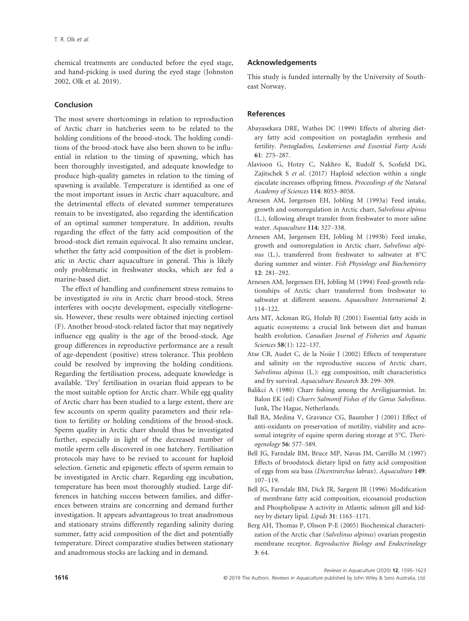chemical treatments are conducted before the eyed stage, and hand-picking is used during the eyed stage (Johnston 2002, Olk et al. 2019).

# Conclusion

The most severe shortcomings in relation to reproduction of Arctic charr in hatcheries seem to be related to the holding conditions of the brood-stock. The holding conditions of the brood-stock have also been shown to be influential in relation to the timing of spawning, which has been thoroughly investigated, and adequate knowledge to produce high-quality gametes in relation to the timing of spawning is available. Temperature is identified as one of the most important issues in Arctic charr aquaculture, and the detrimental effects of elevated summer temperatures remain to be investigated, also regarding the identification of an optimal summer temperature. In addition, results regarding the effect of the fatty acid composition of the brood-stock diet remain equivocal. It also remains unclear, whether the fatty acid composition of the diet is problematic in Arctic charr aquaculture in general. This is likely only problematic in freshwater stocks, which are fed a marine-based diet.

The effect of handling and confinement stress remains to be investigated in situ in Arctic charr brood-stock. Stress interferes with oocyte development, especially vitellogenesis. However, these results were obtained injecting cortisol (F). Another brood-stock-related factor that may negatively influence egg quality is the age of the brood-stock. Age group differences in reproductive performance are a result of age-dependent (positive) stress tolerance. This problem could be resolved by improving the holding conditions. Regarding the fertilisation process, adequate knowledge is available. 'Dry' fertilisation in ovarian fluid appears to be the most suitable option for Arctic charr. While egg quality of Arctic charr has been studied to a large extent, there are few accounts on sperm quality parameters and their relation to fertility or holding conditions of the brood-stock. Sperm quality in Arctic charr should thus be investigated further, especially in light of the decreased number of motile sperm cells discovered in one hatchery. Fertilisation protocols may have to be revised to account for haploid selection. Genetic and epigenetic effects of sperm remain to be investigated in Arctic charr. Regarding egg incubation, temperature has been most thoroughly studied. Large differences in hatching success between families, and differences between strains are concerning and demand further investigation. It appears advantageous to treat anadromous and stationary strains differently regarding salinity during summer, fatty acid composition of the diet and potentially temperature. Direct comparative studies between stationary and anadromous stocks are lacking and in demand.

# Acknowledgements

This study is funded internally by the University of Southeast Norway.

# References

- Abayasekara DRE, Wathes DC (1999) Effects of altering dietary fatty acid composition on postagladin synthesis and fertility. Postagladins, Leukotrienes and Essential Fatty Acids 61: 275–287.
- Alavioon G, Hotzy C, Nakhro K, Rudolf S, Scofield DG, Zajitschek S et al. (2017) Haploid selection within a single ejaculate increases offspring fitness. Proceedings of the Natural Academy of Sciences 114: 8053–8058.
- Arnesen AM, Jørgensen EH, Jobling M (1993a) Feed intake, growth and osmoregulation in Arctic charr, Salvelinus alpinus (L.), following abrupt transfer from freshwater to more saline water. Aquaculture 114: 327–338.
- Arnesen AM, Jørgensen EH, Jobling M (1993b) Feed intake, growth and osmoregulation in Arctic charr, Salvelinus alpinus (L.), transferred from freshwater to saltwater at 8°C during summer and winter. Fish Physiology and Biochemistry 12: 281–292.
- Arnesen AM, Jørgensen EH, Jobling M (1994) Feed-growth relationships of Arctic charr transferred from freshwater to saltwater at different seasons. Aquaculture International 2: 114–122.
- Arts MT, Ackman RG, Holub BJ (2001) Essential fatty acids in aquatic ecosystems: a crucial link between diet and human health evolution. Canadian Journal of Fisheries and Aquatic Sciences 58(1): 122–137.
- Atse CB, Audet C, de la Noüe J (2002) Effects of temperature and salinity on the reproductive success of Arctic charr, Salvelinus alpinus (L.): egg composition, milt characteristics and fry survival. Aquaculture Research 33: 299–309.
- Balikci A (1980) Charr fishing among the Arviligjuarmiut. In: Balon EK (ed) Charrs Salmonif Fishes of the Genus Salvelinus. Junk, The Hague, Netherlands.
- Ball BA, Medina V, Gravance CG, Baumber J (2001) Effect of anti-oxidants on preservation of motility, viability and acrosomal integrity of equine sperm during storage at 5°C. Theriogenology 56: 577–589.
- Bell JG, Farndale BM, Bruce MP, Navas JM, Carrillo M (1997) Effects of broodstock dietary lipid on fatty acid composition of eggs from sea bass (Dicentrarchus labrax). Aquaculture 149: 107–119.
- Bell JG, Farndale BM, Dick JR, Sargent JR (1996) Modification of membrane fatty acid composition, eicosanoid production and Phospholipase A activity in Atlantic salmon gill and kidney by dietary lipid. Lipids 31: 1163–1171.
- Berg AH, Thomas P, Olsson P-E (2005) Biochemical characterization of the Arctic char (Salvelinus alpinus) ovarian progestin membrane receptor. Reproductive Biology and Endocrinology 3: 64.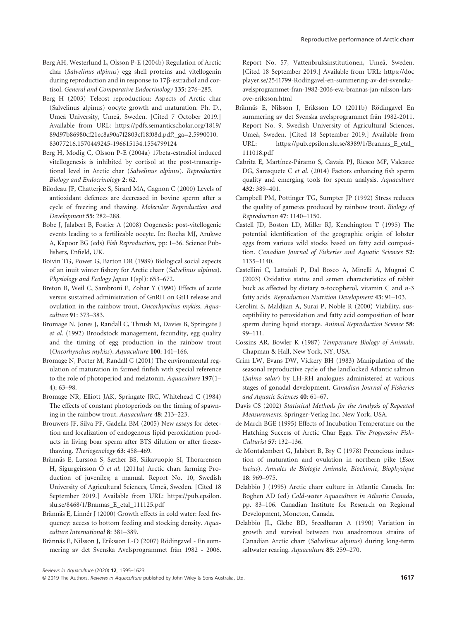- Berg AH, Westerlund L, Olsson P-E (2004b) Regulation of Arctic char (Salvelinus alpinus) egg shell proteins and vitellogenin during reproduction and in response to 17b-estradiol and cortisol. General and Comparative Endocrinology 135: 276–285.
- Berg H (2003) Teleost reproduction: Aspects of Arctic char (Salvelinus alpinus) oocyte growth and maturation. Ph. D., Umeå University, Umeå, Sweden. [Cited 7 October 2019.] Available from URL: [https://pdfs.semanticscholar.org/1819/](https://pdfs.semanticscholar.org/1819/89d97b86980cf21ec8a90a7f2803cf18f08d.pdf?_ga=2.5990010.83077216.1570449245-196615134.1554799124) [89d97b86980cf21ec8a90a7f2803cf18f08d.pdf?\\_ga=2.5990010.](https://pdfs.semanticscholar.org/1819/89d97b86980cf21ec8a90a7f2803cf18f08d.pdf?_ga=2.5990010.83077216.1570449245-196615134.1554799124) [83077216.1570449245-196615134.1554799124](https://pdfs.semanticscholar.org/1819/89d97b86980cf21ec8a90a7f2803cf18f08d.pdf?_ga=2.5990010.83077216.1570449245-196615134.1554799124)
- Berg H, Modig C, Olsson P-E (2004a) 17beta-estradiol induced vitellogenesis is inhibited by cortisol at the post-transcriptional level in Arctic char (Salvelinus alpinus). Reproductive Biology and Endocrinology 2: 62.
- Bilodeau JF, Chatterjee S, Sirard MA, Gagnon C (2000) Levels of antioxidant defences are decreased in bovine sperm after a cycle of freezing and thawing. Molecular Reproduction and Development 55: 282–288.
- Bobe J, Jalabert B, Fostier A (2008) Oogenesis: post-vitellogenic events leading to a fertilizable oocyte. In: Rocha MJ, Arukwe A, Kapoor BG (eds) Fish Reproduction, pp: 1–36. Science Publishers, Enfield, UK.
- Boivin TG, Power G, Barton DR (1989) Biological social aspects of an inuit winter fishery for Arctic charr (Salvelinus alpinus). Physiology and Ecology Japan 1(spl): 653-672.
- Breton B, Weil C, Sambroni E, Zohar Y (1990) Effects of acute versus sustained administration of GnRH on GtH release and ovulation in the rainbow trout, Oncorhynchus mykiss. Aquaculture 91: 373–383.
- Bromage N, Jones J, Randall C, Thrush M, Davies B, Springate J et al. (1992) Broodstock management, fecundity, egg quality and the timing of egg production in the rainbow trout (Oncorhynchus mykiss). Aquaculture 100: 141–166.
- Bromage N, Porter M, Randall C (2001) The environmental regulation of maturation in farmed finfish with special reference to the role of photoperiod and melatonin. Aquaculture 197(1– 4): 63–98.
- Bromage NR, Elliott JAK, Springate JRC, Whitehead C (1984) The effects of constant photoperiods on the timing of spawning in the rainbow trout. Aquaculture 48: 213–223.
- Brouwers JF, Silva PF, Gadella BM (2005) New assays for detection and localization of endogenous lipid peroxidation products in living boar sperm after BTS dilution or after freezethawing. Theriogenology 63: 458–469.
- Brännäs E, Larsson S, Sæther BS, Siikavuopio SI, Thorarensen H, Sigurgeirsson Ó et al. (2011a) Arctic charr farming Production of juveniles; a manual. Report No. 10, Swedish University of Agricultural Sciences, Umea, Sweden. [Cited 18 September 2019.] Available from URL: [https://pub.epsilon.](https://pub.epsilon.slu.se/8468/1/Brannas_E_etal_111125.pdf) [slu.se/8468/1/Brannas\\_E\\_etal\\_111125.pdf](https://pub.epsilon.slu.se/8468/1/Brannas_E_etal_111125.pdf)
- Brännäs E, Linnér J (2000) Growth effects in cold water: feed frequency: access to bottom feeding and stocking density. Aquaculture International 8: 381–389.
- Brännäs E, Nilsson J, Eriksson L-O (2007) Rödingavel En summering av det Svenska Avelsprogrammet från 1982 - 2006.

Report No. 57, Vattenbruksinstitutionen, Umeå, Sweden. [Cited 18 September 2019.] Available from URL: [https://doc](https://docplayer.se/2541799-Rodingavel-en-summering-av-det-svenska-avelsprogrammet-fran-1982-2006-eva-brannas-jan-nilsson-lars-ove-eriksson.html) [player.se/2541799-Rodingavel-en-summering-av-det-svenska](https://docplayer.se/2541799-Rodingavel-en-summering-av-det-svenska-avelsprogrammet-fran-1982-2006-eva-brannas-jan-nilsson-lars-ove-eriksson.html)[avelsprogrammet-fran-1982-2006-eva-brannas-jan-nilsson-lars](https://docplayer.se/2541799-Rodingavel-en-summering-av-det-svenska-avelsprogrammet-fran-1982-2006-eva-brannas-jan-nilsson-lars-ove-eriksson.html)[ove-eriksson.html](https://docplayer.se/2541799-Rodingavel-en-summering-av-det-svenska-avelsprogrammet-fran-1982-2006-eva-brannas-jan-nilsson-lars-ove-eriksson.html)

- Brännäs E, Nilsson J, Eriksson LO (2011b) Rödingavel En summering av det Svenska avelsprogrammet från 1982-2011. Report No. 9. Swedish University of Agricultural Sciences, Umea, Sweden. [Cited 18 September 2019.] Available from URL: [https://pub.epsilon.slu.se/8389/1/Brannas\\_E\\_etal\\_](https://pub.epsilon.slu.se/8389/1/Brannas_E_etal_111018.pdf) [111018.pdf](https://pub.epsilon.slu.se/8389/1/Brannas_E_etal_111018.pdf)
- Cabrita E, Martínez-Páramo S, Gavaia PJ, Riesco MF, Valcarce DG, Sarasquete C et al. (2014) Factors enhancing fish sperm quality and emerging tools for sperm analysis. Aquaculture 432: 389–401.
- Campbell PM, Pottinger TG, Sumpter JP (1992) Stress reduces the quality of gametes produced by rainbow trout. Biology of Reproduction 47: 1140–1150.
- Castell JD, Boston LD, Miller RJ, Kenchington T (1995) The potential identification of the geographic origin of lobster eggs from various wild stocks based on fatty acid composition. Canadian Journal of Fisheries and Aquatic Sciences 52: 1135–1140.
- Castellini C, Lattaioli P, Dal Bosco A, Minelli A, Mugnai C (2003) Oxidative status and semen characteristics of rabbit buck as affected by dietary  $\alpha$ -tocopherol, vitamin C and  $n-3$ fatty acids. Reproduction Nutrition Development 43: 91–103.
- Cerolini S, Maldjian A, Surai P, Noble R (2000) Viability, susceptibility to peroxidation and fatty acid composition of boar sperm during liquid storage. Animal Reproduction Science 58: 99–111.
- Cossins AR, Bowler K (1987) Temperature Biology of Animals. Chapman & Hall, New York, NY, USA.
- Crim LW, Evans DW, Vickery BH (1983) Manipulation of the seasonal reproductive cycle of the landlocked Atlantic salmon (Salmo salar) by LH-RH analogues administered at various stages of gonadal development. Canadian Journal of Fisheries and Aquatic Sciences 40: 61–67.
- Davis CS (2002) Statistical Methods for the Analysis of Repeated Measurements. Springer-Verlag Inc, New York, USA.
- de March BGE (1995) Effects of Incubation Temperature on the Hatching Success of Arctic Char Eggs. The Progressive Fish-Culturist 57: 132–136.
- de Montalembert G, Jalabert B, Bry C (1978) Precocious induction of maturation and ovulation in northern pike (Esox lucius). Annales de Biologie Animale, Biochimie, Biophysique 18: 969–975.
- Delabbio J (1995) Arctic charr culture in Atlantic Canada. In: Boghen AD (ed) Cold-water Aquaculture in Atlantic Canada, pp. 83–106. Canadian Institute for Research on Regional Development, Moncton, Canada.
- Delabbio JL, Glebe BD, Sreedharan A (1990) Variation in growth and survival between two anadromous strains of Canadian Arctic charr (Salvelinus alpinus) during long-term saltwater rearing. Aquaculture 85: 259-270.

Reviews in Aquaculture (2020) 12, 1595–1623

<sup>© 2019</sup> The Authors. Reviews in Aquaculture published by John Wiley & Sons Australia, Ltd. 1617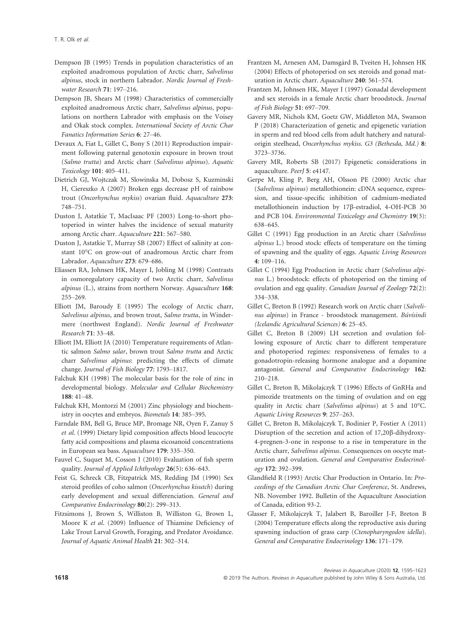- Dempson JB (1995) Trends in population characteristics of an exploited anadromous population of Arctic charr, Salvelinus alpinus, stock in northern Labrador. Nordic Journal of Freshwater Research 71: 197–216.
- Dempson JB, Shears M (1998) Characteristics of commercially exploited anadromous Arctic charr, Salvelinus alpinus, populations on northern Labrador with emphasis on the Voisey and Okak stock complex. International Society of Arctic Char Fanatics Information Series 6: 27–46.
- Devaux A, Fiat L, Gillet C, Bony S (2011) Reproduction impairment following paternal genotoxin exposure in brown trout (Salmo trutta) and Arctic charr (Salvelinus alpinus). Aquatic Toxicology 101: 405–411.
- Dietrich GJ, Wojtczak M, Slowinska M, Dobosz S, Kuzminski H, Ciereszko A (2007) Broken eggs decrease pH of rainbow trout (Oncorhynchus mykiss) ovarian fluid. Aquaculture 273: 748–751.
- Duston J, Astatkie T, MacIsaac PF (2003) Long-to-short photoperiod in winter halves the incidence of sexual maturity among Arctic charr. Aquaculture 221: 567–580.
- Duston J, Astatkie T, Murray SB (2007) Effect of salinity at constant 10°C on grow-out of anadromous Arctic charr from Labrador. Aquaculture 273: 679–686.
- Eliassen RA, Johnsen HK, Mayer I, Jobling M (1998) Contrasts in osmoregulatory capacity of two Arctic charr, Salvelinus alpinus (L.), strains from northern Norway. Aquaculture 168: 255–269.
- Elliott JM, Baroudy E (1995) The ecology of Arctic charr, Salvelinus alpinus, and brown trout, Salmo trutta, in Windermere (northwest England). Nordic Journal of Freshwater Research 71: 33–48.
- Elliott JM, Elliott JA (2010) Temperature requirements of Atlantic salmon Salmo salar, brown trout Salmo trutta and Arctic charr Salvelinus alpinus: predicting the effects of climate change. Journal of Fish Biology 77: 1793–1817.
- Falchuk KH (1998) The molecular basis for the role of zinc in developmental biology. Molecular and Cellular Biochemistry 188: 41–48.
- Falchuk KH, Montorzi M (2001) Zinc physiology and biochemistry in oocytes and embryos. Biometals 14: 385–395.
- Farndale BM, Bell G, Bruce MP, Bromage NR, Oyen F, Zanuy S et al. (1999) Dietary lipid composition affects blood leucocyte fatty acid compositions and plasma eicosanoid concentrations in European sea bass. Aquaculture 179: 335–350.
- Fauvel C, Suquet M, Cosson J (2010) Evaluation of fish sperm quality. Journal of Applied Ichthyology 26(5): 636–643.
- Feist G, Schreck CB, Fitzpatrick MS, Redding JM (1990) Sex steroid profiles of coho salmon (Oncorhynchus kisutch) during early development and sexual differenciation. General and Comparative Endocrinology 80(2): 299–313.
- Fitzsimons J, Brown S, Williston B, Williston G, Brown L, Moore K et al. (2009) Influence of Thiamine Deficiency of Lake Trout Larval Growth, Foraging, and Predator Avoidance. Journal of Aquatic Animal Health 21: 302–314.
- Frantzen M, Arnesen AM, Damsgard B, Tveiten H, Johnsen HK (2004) Effects of photoperiod on sex steroids and gonad maturation in Arctic charr. Aquaculture 240: 561–574.
- Frantzen M, Johnsen HK, Mayer I (1997) Gonadal development and sex steroids in a female Arctic charr broodstock. Journal of Fish Biology 51: 697–709.
- Gavery MR, Nichols KM, Goetz GW, Middleton MA, Swanson P (2018) Characterization of genetic and epigenetic variation in sperm and red blood cells from adult hatchery and naturalorigin steelhead, Oncorhynchus mykiss. G3 (Bethesda, Md.) 8: 3723–3736.
- Gavery MR, Roberts SB (2017) Epigenetic considerations in aquaculture. PeerJ 5: e4147.
- Gerpe M, Kling P, Berg AH, Olsson PE (2000) Arctic char (Salvelinus alpinus) metallothionein: cDNA sequence, expression, and tissue-specific inhibition of cadmium-mediated metallothionein induction by 17ß-estradiol, 4-OH-PCB 30 and PCB 104. Environmental Toxicology and Chemistry 19(3): 638–645.
- Gillet C (1991) Egg production in an Arctic charr (Salvelinus alpinus L.) brood stock: effects of temperature on the timing of spawning and the quality of eggs. Aquatic Living Resources 4: 109–116.
- Gillet C (1994) Egg Production in Arctic charr (Salvelinus alpinus L.) broodstock: effects of photoperiod on the timing of ovulation and egg quality. Canadian Journal of Zoology 72(2): 334–338.
- Gillet C, Breton B (1992) Research work on Arctic charr (Salvelinus alpinus) in France - broodstock management. Búvísindi (Icelandic Agricultural Sciences) 6: 25–45.
- Gillet C, Breton B (2009) LH secretion and ovulation following exposure of Arctic charr to different temperature and photoperiod regimes: responsiveness of females to a gonadotropin-releasing hormone analogue and a dopamine antagonist. General and Comparative Endocrinology 162: 210–218.
- Gillet C, Breton B, Mikolajczyk T (1996) Effects of GnRHa and pimozide treatments on the timing of ovulation and on egg quality in Arctic charr (Salvelinus alpinus) at 5 and 10°C. Aquatic Living Resources 9: 257–263.
- Gillet C, Breton B, Mikolajczyk T, Bodinier P, Fostier A (2011) Disruption of the secretion and action of 17,20 $\beta$ -dihydroxy-4-pregnen-3-one in response to a rise in temperature in the Arctic charr, Salvelinus alpinus. Consequences on oocyte maturation and ovulation. General and Comparative Endocrinology 172: 392–399.
- Glandfield R (1993) Arctic Char Production in Ontario. In: Proceedings of the Canadian Arctic Char Conference, St. Andrews, NB. November 1992. Bulletin of the Aquaculture Association of Canada, edition 93-2.
- Glasser F, Mikolajczyk T, Jalabert B, Baroiller J-F, Breton B (2004) Temperature effects along the reproductive axis during spawning induction of grass carp (Ctenopharyngodon idella). General and Comparative Endocrinology 136: 171–179.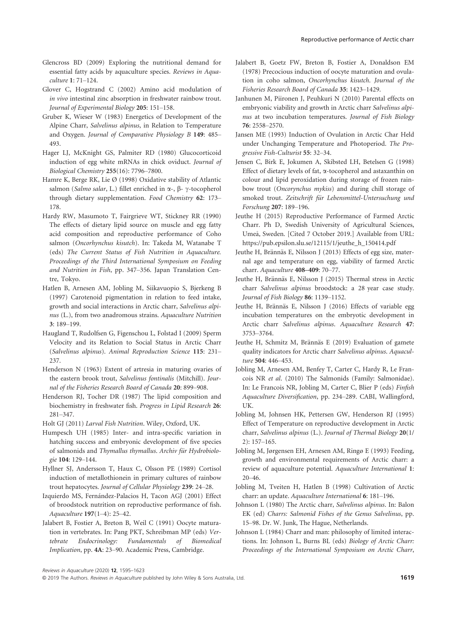- Glencross BD (2009) Exploring the nutritional demand for essential fatty acids by aquaculture species. Reviews in Aquaculture 1: 71–124.
- Glover C, Hogstrand C (2002) Amino acid modulation of in vivo intestinal zinc absorption in freshwater rainbow trout. Journal of Experimental Biology 205: 151–158.
- Gruber K, Wieser W (1983) Energetics of Development of the Alpine Charr, Salvelinus alpinus, in Relation to Temperature and Oxygen. Journal of Comparative Physiology B 149: 485– 493.
- Hager LJ, McKnight GS, Palmiter RD (1980) Glucocorticoid induction of egg white mRNAs in chick oviduct. Journal of Biological Chemistry 255(16): 7796–7800.
- Hamre K, Berge RK, Lie Ø (1998) Oxidative stability of Atlantic salmon (Salmo salar, L.) fillet enriched in  $\alpha$ -,  $\beta$ -  $\gamma$ -tocopherol through dietary supplementation. Food Chemistry 62: 173– 178.
- Hardy RW, Masumoto T, Fairgrieve WT, Stickney RR (1990) The effects of dietary lipid source on muscle and egg fatty acid composition and reproductive performance of Coho salmon (Oncorhynchus kisutch). In: Takeda M, Watanabe T (eds) The Current Status of Fish Nutrition in Aquaculture. Proceedings of the Third International Symposium on Feeding and Nutrition in Fish, pp. 347–356. Japan Translation Centre, Tokyo.
- Hatlen B, Arnesen AM, Jobling M, Siikavuopio S, Bjerkeng B (1997) Carotenoid pigmentation in relation to feed intake, growth and social interactions in Arctic charr, Salvelinus alpinus (L.), from two anadromous strains. Aquaculture Nutrition 3: 189–199.
- Haugland T, Rudolfsen G, Figenschou L, Folstad I (2009) Sperm Velocity and its Relation to Social Status in Arctic Charr (Salvelinus alpinus). Animal Reproduction Science 115: 231– 237.
- Henderson N (1963) Extent of artresia in maturing ovaries of the eastern brook trout, Salvelinus fontinalis (Mitchill). Journal of the Fisheries Research Board of Canada 20: 899–908.
- Henderson RJ, Tocher DR (1987) The lipid composition and biochemistry in freshwater fish. Progress in Lipid Research 26: 281–347.
- Holt GJ (2011) Larval Fish Nutrition. Wiley, Oxford, UK.
- Humpesch UH (1985) Inter- and intra-specific variation in hatching success and embryonic development of five species of salmonids and Thymallus thymallus. Archiv für Hydrobiologie 104: 129–144.
- Hyllner SJ, Andersson T, Haux C, Olsson PE (1989) Cortisol induction of metallothionein in primary cultures of rainbow trout hepatocytes. Journal of Cellular Physiology 239: 24–28.
- Izquierdo MS, Fernández-Palacios H, Tacon AGJ (2001) Effect of broodstock nutrition on reproductive performance of fish. Aquaculture 197(1–4): 25–42.
- Jalabert B, Fostier A, Breton B, Weil C (1991) Oocyte maturation in vertebrates. In: Pang PKT, Schreibman MP (eds) Vertebrate Endocrinology: Fundamentals of Biomedical Implication, pp. 4A: 23–90. Academic Press, Cambridge.
- Jalabert B, Goetz FW, Breton B, Fostier A, Donaldson EM (1978) Precocious induction of oocyte maturation and ovulation in coho salmon, Oncorhynchus kisutch. Journal of the Fisheries Research Board of Canada 35: 1423–1429.
- Janhunen M, Piironen J, Peuhkuri N (2010) Parental effects on embryonic viability and growth in Arctic charr Salvelinus alpinus at two incubation temperatures. Journal of Fish Biology 76: 2558–2570.
- Jansen ME (1993) Induction of Ovulation in Arctic Char Held under Unchanging Temperature and Photoperiod. The Progressive Fish-Culturist 55: 32–34.
- Jensen C, Birk E, Jokumen A, Skibsted LH, Betelsen G (1998) Effect of dietary levels of fat, a-tocopherol and astaxanthin on colour and lipid peroxidation during storage of frozen rainbow trout (Oncorynchus mykiss) and during chill storage of smoked trout. Zeitschrift für Lebensmittel-Untersuchung und Forschung 207: 189–196.
- Jeuthe H (2015) Reproductive Performance of Farmed Arctic Charr. Ph D, Swedish University of Agricultural Sciences, Umea, Sweden. [Cited 7 October 2019.] Available from URL: [https://pub.epsilon.slu.se/12115/1/jeuthe\\_h\\_150414.pdf](https://pub.epsilon.slu.se/12115/1/jeuthe_h_150414.pdf)
- Jeuthe H, Brännäs E, Nilsson J (2013) Effects of egg size, maternal age and temperature on egg, viability of farmed Arctic charr. Aquaculture 408–409: 70–77.
- Jeuthe H, Brännäs E, Nilsson J (2015) Thermal stress in Arctic charr Salvelinus alpinus broodstock: a 28 year case study. Journal of Fish Biology 86: 1139–1152.
- Jeuthe H, Brännäs E, Nilsson J (2016) Effects of variable egg incubation temperatures on the embryotic development in Arctic charr Salvelinus alpinus. Aquaculture Research 47: 3753–3764.
- Jeuthe H, Schmitz M, Brännäs E (2019) Evaluation of gamete quality indicators for Arctic charr Salvelinus alpinus. Aquaculture 504: 446–453.
- Jobling M, Arnesen AM, Benfey T, Carter C, Hardy R, Le Francois NR et al. (2010) The Salmonids (Family: Salmonidae). In: Le Francois NR, Jobling M, Carter C, Blier P (eds) Finfish Aquaculture Diversification, pp. 234–289. CABI, Wallingford, UK.
- Jobling M, Johnsen HK, Pettersen GW, Henderson RJ (1995) Effect of Temperature on reproductive development in Arctic charr, Salvelinus alpinus (L.). Journal of Thermal Biology 20(1/ 2): 157–165.
- Jobling M, Jørgensen EH, Arnesen AM, Ringø E (1993) Feeding, growth and environmental requirements of Arctic charr: a review of aquaculture potential. Aquaculture International 1: 20–46.
- Jobling M, Tveiten H, Hatlen B (1998) Cultivation of Arctic charr: an update. Aquaculture International 6: 181–196.
- Johnson L (1980) The Arctic charr, Salvelinus alpinus. In: Balon EK (ed) Charrs: Salmonid Fishes of the Genus Salvelinus, pp. 15–98. Dr. W. Junk, The Hague, Netherlands.
- Johnson L (1984) Charr and man: philosophy of limited interactions. In: Johnson L, Burns BL (eds) Biology of Arctic Charr: Proceedings of the International Symposium on Arctic Charr,

Reviews in Aquaculture (2020) 12, 1595–1623

<sup>© 2019</sup> The Authors. Reviews in Aquaculture published by John Wiley & Sons Australia, Ltd. 1619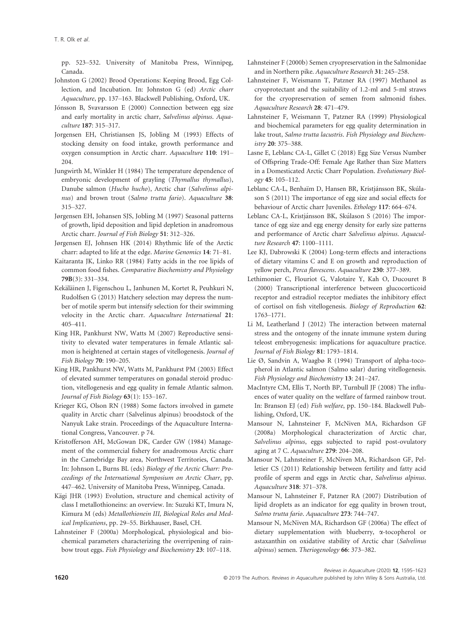pp. 523–532. University of Manitoba Press, Winnipeg, Canada.

- Johnston G (2002) Brood Operations: Keeping Brood, Egg Collection, and Incubation. In: Johnston G (ed) Arctic charr Aquaculture, pp. 137–163. Blackwell Publishing, Oxford, UK.
- Jónsson B, Svavarsson E (2000) Connection between egg size and early mortality in arctic charr, Salvelinus alpinus. Aquaculture 187: 315–317.
- Jorgensen EH, Christiansen JS, Jobling M (1993) Effects of stocking density on food intake, growth performance and oxygen consumption in Arctic charr. Aquaculture 110: 191– 204.
- Jungwirth M, Winkler H (1984) The temperature dependence of embryonic development of grayling (Thymallus thymallus), Danube salmon (Hucho hucho), Arctic char (Salvelinus alpinus) and brown trout (Salmo trutta fario). Aquaculture 38: 315–327.
- Jørgensen EH, Johansen SJS, Jobling M (1997) Seasonal patterns of growth, lipid deposition and lipid depletion in anadromous Arctic charr. Journal of Fish Biology 51: 312–326.
- Jørgensen EJ, Johnsen HK (2014) Rhythmic life of the Arctic charr: adapted to life at the edge. Marine Genomics 14: 71–81.
- Kaitaranta JK, Linko RR (1984) Fatty acids in the roe lipids of common food fishes. Comparative Biochemistry and Physiology 79B(3): 331–334.
- Kekäläinen J, Figenschou L, Janhunen M, Kortet R, Peuhkuri N, Rudolfsen G (2013) Hatchery selection may depress the number of motile sperm but intensify selection for their swimming velocity in the Arctic charr. Aquaculture International 21: 405–411.
- King HR, Pankhurst NW, Watts M (2007) Reproductive sensitivity to elevated water temperatures in female Atlantic salmon is heightened at certain stages of vitellogenesis. Journal of Fish Biology 70: 190–205.
- King HR, Pankhurst NW, Watts M, Pankhurst PM (2003) Effect of elevated summer temperatures on gonadal steroid production, vitellogenesis and egg quality in female Atlantic salmon. Journal of Fish Biology 63(1): 153–167.
- Krieger KG, Olson RN (1988) Some factors involved in gamete quality in Arctic charr (Salvelinus alpinus) broodstock of the Nanyuk Lake strain. Proceedings of the Aquaculture International Congress, Vancouver. p 74.
- Kristofferson AH, McGowan DK, Carder GW (1984) Management of the commercial fishery for anadromous Arctic charr in the Camebridge Bay area, Northwest Territories, Canada. In: Johnson L, Burns BL (eds) Biology of the Arctic Charr: Proceedings of the International Symposium on Arctic Charr, pp. 447–462. University of Manitoba Press, Winnipeg, Canada.
- Kägi JHR (1993) Evolution, structure and chemical activity of class I metallothioneins: an overview. In: Suzuki KT, Imura N, Kimura M (eds) Metallothionein III, Biological Roles and Medical Implications, pp. 29–55. Birkhauser, Basel, CH.
- Lahnsteiner F (2000a) Morphological, physiological and biochemical parameters characterizing the overripening of rainbow trout eggs. Fish Physiology and Biochemistry 23: 107–118.
- Lahnsteiner F (2000b) Semen cryopreservation in the Salmonidae and in Northern pike. Aquaculture Research 31: 245–258.
- Lahnsteiner F, Weismann T, Patzner RA (1997) Methanol as cryoprotectant and the suitability of 1.2-ml and 5-ml straws for the cryopreservation of semen from salmonid fishes. Aquaculture Research 28: 471–479.
- Lahnsteiner F, Weismann T, Patzner RA (1999) Physiological and biochemical parameters for egg quality determination in lake trout, Salmo trutta lacustris. Fish Physiology and Biochemistry 20: 375–388.
- Lasne E, Leblanc CA-L, Gillet C (2018) Egg Size Versus Number of Offspring Trade-Off: Female Age Rather than Size Matters in a Domesticated Arctic Charr Population. Evolutionary Biology 45: 105–112.
- Leblanc CA-L, Benhaïm D, Hansen BR, Kristjánsson BK, Skúlason S (2011) The importance of egg size and social effects for behaviour of Arctic charr Juveniles. Ethology 117: 664–674.
- Leblanc CA-L, Kristjánsson BK, Skúlason S (2016) The importance of egg size and egg energy density for early size patterns and performance of Arctic charr Salvelinus alpinus. Aquaculture Research 47: 1100–1111.
- Lee KJ, Dabrowski K (2004) Long-term effects and interactions of dietary vitamins C and E on growth and reproduction of yellow perch, Perca flavescens. Aquaculture 230: 377–389.
- Lethimonier C, Flouriot G, Valotaire Y, Kah O, Ducouret B (2000) Transcriptional interference between glucocorticoid receptor and estradiol receptor mediates the inhibitory effect of cortisol on fish vitellogenesis. Biology of Reproduction 62: 1763–1771.
- Li M, Leatherland J (2012) The interaction between maternal stress and the ontogeny of the innate immune system during teleost embryogenesis: implications for aquaculture practice. Journal of Fish Biology 81: 1793–1814.
- Lie Ø, Sandvin A, Waagbø R (1994) Transport of alpha-tocopherol in Atlantic salmon (Salmo salar) during vitellogenesis. Fish Physiology and Biochemistry 13: 241–247.
- MacIntyre CM, Ellis T, North BP, Turnbull JF (2008) The influences of water quality on the welfare of farmed rainbow trout. In: Branson EJ (ed) Fish welfare, pp. 150–184. Blackwell Publishing, Oxford, UK.
- Mansour N, Lahnsteiner F, McNiven MA, Richardson GF (2008a) Morphological characterization of Arctic char, Salvelinus alpinus, eggs subjected to rapid post-ovulatory aging at 7 C. Aquaculture 279: 204–208.
- Mansour N, Lahnsteiner F, McNiven MA, Richardson GF, Pelletier CS (2011) Relationship between fertility and fatty acid profile of sperm and eggs in Arctic char, Salvelinus alpinus. Aquaculture 318: 371–378.
- Mansour N, Lahnsteiner F, Patzner RA (2007) Distribution of lipid droplets as an indicator for egg quality in brown trout, Salmo trutta fario. Aquaculture 273: 744–747.
- Mansour N, McNiven MA, Richardson GF (2006a) The effect of dietary supplementation with blueberry, a-tocopherol or astaxanthin on oxidative stability of Arctic char (Salvelinus alpinus) semen. Theriogenology 66: 373–382.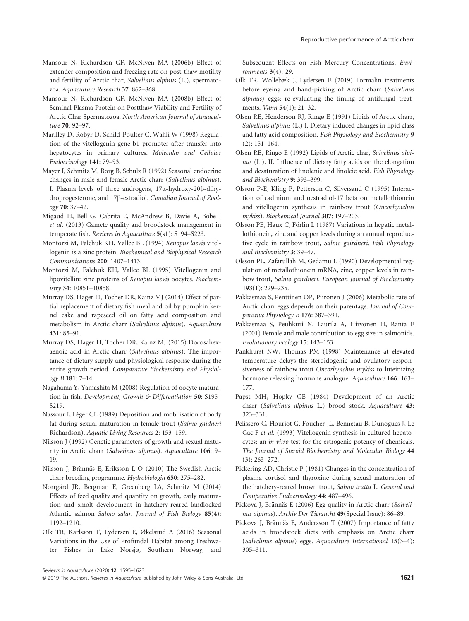- Mansour N, Richardson GF, McNiven MA (2006b) Effect of extender composition and freezing rate on post-thaw motility and fertility of Arctic char, Salvelinus alpinus (L.), spermatozoa. Aquaculture Research 37: 862–868.
- Mansour N, Richardson GF, McNiven MA (2008b) Effect of Seminal Plasma Protein on Postthaw Viability and Fertility of Arctic Char Spermatozoa. North American Journal of Aquaculture 70: 92–97.
- Marilley D, Robyr D, Schild-Poulter C, Wahli W (1998) Regulation of the vitellogenin gene b1 promoter after transfer into hepatocytes in primary cultures. Molecular and Cellular Endocrinology 141: 79–93.
- Mayer I, Schmitz M, Borg B, Schulz R (1992) Seasonal endocrine changes in male and female Arctic charr (Salvelinus alpinus). I. Plasma levels of three androgens, 17 $\alpha$ -hydroxy-20 $\beta$ -dihydroprogesterone, and 17b-estradiol. Canadian Journal of Zoology 70: 37–42.
- Migaud H, Bell G, Cabrita E, McAndrew B, Davie A, Bobe J et al. (2013) Gamete quality and broodstock management in temperate fish. Reviews in Aquaculture 5(s1): S194–S223.
- Montorzi M, Falchuk KH, Vallee BL (1994) Xenopus laevis vitellogenin is a zinc protein. Biochemical and Biophysical Research Communications 200: 1407–1413.
- Montorzi M, Falchuk KH, Vallee BL (1995) Vitellogenin and lipovitellin: zinc proteins of Xenopus laevis oocytes. Biochemistry 34: 10851–10858.
- Murray DS, Hager H, Tocher DR, Kainz MJ (2014) Effect of partial replacement of dietary fish meal and oil by pumpkin kernel cake and rapeseed oil on fatty acid composition and metabolism in Arctic charr (Salvelinus alpinus). Aquaculture 431: 85–91.
- Murray DS, Hager H, Tocher DR, Kainz MJ (2015) Docosahexaenoic acid in Arctic charr (Salvelinus alpinus): The importance of dietary supply and physiological response during the entire growth period. Comparative Biochemistry and Physiology B 181: 7–14.
- Nagahama Y, Yamashita M (2008) Regulation of oocyte maturation in fish. Development, Growth & Differentiation 50: S195– S219.
- Nassour I, Léger CL (1989) Deposition and mobilisation of body fat during sexual maturation in female trout (Salmo gaidneri Richardson). Aquatic Living Resources 2: 153–159.
- Nilsson J (1992) Genetic parameters of growth and sexual maturity in Arctic charr (Salvelinus alpinus). Aquaculture 106: 9– 19.
- Nilsson J, Brännäs E, Eriksson L-O (2010) The Swedish Arctic charr breeding programme. Hydrobiologia 650: 275–282.
- Norrgard JR, Bergman E, Greenberg LA, Schmitz M (2014) Effects of feed quality and quantity on growth, early maturation and smolt development in hatchery-reared landlocked Atlantic salmon Salmo salar. Journal of Fish Biology 85(4): 1192–1210.
- Olk TR, Karlsson T, Lydersen E, Økelsrud A (2016) Seasonal Variations in the Use of Profundal Habitat among Freshwater Fishes in Lake Norsjø, Southern Norway, and

Subsequent Effects on Fish Mercury Concentrations. Environments 3(4): 29.

- Olk TR, Wollebæk J, Lydersen E (2019) Formalin treatments before eyeing and hand-picking of Arctic charr (Salvelinus alpinus) eggs; re-evaluating the timing of antifungal treatments. Vann 54(1): 21–32.
- Olsen RE, Henderson RJ, Ringø E (1991) Lipids of Arctic charr, Salvelinus alpinus (L.) I. Dietary induced changes in lipid class and fatty acid composition. Fish Physiology and Biochemistry 9 (2): 151–164.
- Olsen RE, Ringø E (1992) Lipids of Arctic char, Salvelinus alpinus (L.). II. Influence of dietary fatty acids on the elongation and desaturation of linolenic and linoleic acid. Fish Physiology and Biochemistry 9: 393–399.
- Olsson P-E, Kling P, Petterson C, Silversand C (1995) Interaction of cadmium and oestradiol-17 beta on metallothionein and vitellogenin synthesis in rainbow trout (Oncorhynchus mykiss). Biochemical Journal 307: 197–203.
- Olsson PE, Haux C, Förlin L (1987) Variations in hepatic metallothionein, zinc and copper levels during an annual reproductive cycle in rainbow trout, Salmo gairdneri. Fish Physiology and Biochemistry 3: 39–47.
- Olsson PE, Zafarullah M, Gedamu L (1990) Developmental regulation of metallothionein mRNA, zinc, copper levels in rainbow trout, Salmo gairdneri. European Journal of Biochemistry 193(1): 229–235.
- Pakkasmaa S, Penttinen OP, Piironen J (2006) Metabolic rate of Arctic charr eggs depends on their parentage. Journal of Comparative Physiology B 176: 387–391.
- Pakkasmaa S, Peuhkuri N, Laurila A, Hirvonen H, Ranta E (2001) Female and male contribution to egg size in salmonids. Evolutionary Ecology 15: 143–153.
- Pankhurst NW, Thomas PM (1998) Maintenance at elevated temperature delays the steroidogenic and ovulatory responsiveness of rainbow trout Oncorhynchus mykiss to luteinizing hormone releasing hormone analogue. Aquaculture 166: 163– 177.
- Papst MH, Hopky GE (1984) Development of an Arctic charr (Salvelinus alpinus L.) brood stock. Aquaculture 43: 323–331.
- Pelissero C, Flouriot G, Foucher JL, Bennetau B, Dunogues J, Le Gac F et al. (1993) Vitellogenin synthesis in cultured hepatocytes: an in vitro test for the estrogenic potency of chemicals. The Journal of Steroid Biochemistry and Molecular Biology 44 (3): 263–272.
- Pickering AD, Christie P (1981) Changes in the concentration of plasma cortisol and thyroxine during sexual maturation of the hatchery-reared brown trout, Salmo trutta L. General and Comparative Endocrinology 44: 487–496.
- Pickova J, Brännäs E (2006) Egg quality in Arctic charr (Salvelinus alpinus). Archiv Der Tierzucht 49(Special Issue): 86–89.
- Pickova J, Brännäs E, Andersson T (2007) Importance of fatty acids in broodstock diets with emphasis on Arctic charr (Salvelinus alpinus) eggs. Aquaculture International 15(3–4): 305–311.

Reviews in Aquaculture (2020) 12, 1595–1623

<sup>© 2019</sup> The Authors. Reviews in Aquaculture published by John Wiley & Sons Australia, Ltd. 1621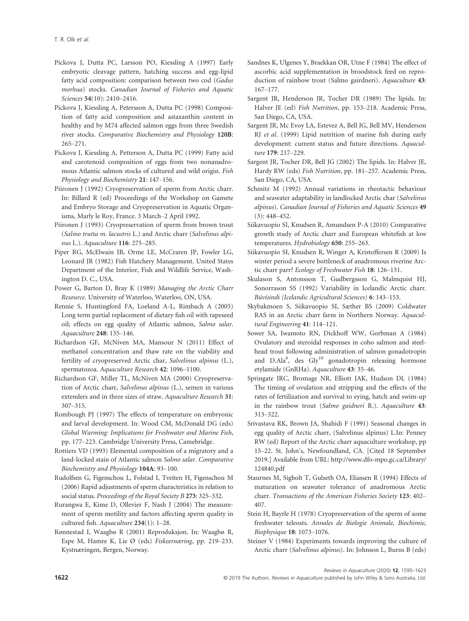- Pickova J, Dutta PC, Larsson PO, Kiessling A (1997) Early embryotic cleavage pattern, hatching success and egg-lipid fatty acid composition: comparison between two cod (Gadus morhua) stocks. Canadian Journal of Fisheries and Aquatic Sciences 54(10): 2410–2416.
- Pickova J, Kiessling A, Petersson A, Dutta PC (1998) Composition of fatty acid composition and astaxanthin content in healthy and by M74 affected salmon eggs from three Swedish river stocks. Comparative Biochemistry and Physiology 120B: 265–271.
- Pickova J, Kiessling A, Petterson A, Dutta PC (1999) Fatty acid and carotenoid composition of eggs from two nonanadromous Atlantic salmon stocks of cultured and wild origin. Fish Physiology and Biochemistry 21: 147–156.
- Piironen J (1992) Cryopreservation of sperm from Arctic charr. In: Billard R (ed) Proceedings of the Workshop on Gamete and Embryo Storage and Cryopreservation in Aquatic Organisms, Marly le Roy, France. 3 March–2 April 1992.
- Piironen J (1993) Cryopreservation of sperm from brown trout (Salmo trutta m. lacustris L.) and Arctic charr (Salvelinus alpinus L.). Aquaculture 116: 275–285.
- Piper RG, McElwain IB, Orme LE, McCraren JP, Fowler LG, Leonard JR (1982) Fish Hatchery Management. United States Department of the Interior, Fish and Wildlife Service, Washington D. C., USA.
- Power G, Barton D, Bray K (1989) Managing the Arctic Charr Resource. University of Waterloo, Waterloo, ON, USA.
- Rennie S, Huntingford FA, Loeland A-L, Rimbach A (2005) Long term partial replacement of dietary fish oil with rapeseed oil; effects on egg quality of Atlantic salmon, Salmo salar. Aquaculture 248: 135–146.
- Richardson GF, McNiven MA, Mansour N (2011) Effect of methanol concentration and thaw rate on the viability and fertility of cryopreserved Arctic char, Salvelinus alpinus (L.), spermatozoa. Aquaculture Research 42: 1096–1100.
- Richardson GF, Miller TL, McNiven MA (2000) Cryopreservation of Arctic charr, Salvelinus alpinus (L.), semen in various extenders and in three sizes of straw. Aquaculture Research 31: 307–315.
- Rombough PJ (1997) The effects of temperature on embryonic and larval development. In: Wood CM, McDonald DG (eds) Global Warming: Implications for Freshwater and Marine Fish, pp. 177–223. Cambridge University Press, Camebridge.
- Rottiers VD (1993) Elemental composition of a migratory and a land-locked stain of Atlantic salmon Salmo salar. Comparative Biochemistry and Physiology 104A: 93–100.
- Rudolfsen G, Figenschou L, Folstad I, Tveiten H, Figenschou M (2006) Rapid adjustments of sperm characteristics in relation to social status. Proceedings of the Royal Society B 273: 325–332.
- Rurangwa E, Kime D, Ollevier F, Nash J (2004) The measurement of sperm motility and factors affecting sperm quality in cultured fish. Aquaculture 234(1): 1–28.
- Rønnestad I, Waagbø R (2001) Reproduksjon. In: Waagbø R, Espe M, Hamre K, Lie Ø (eds) Fiskeernæring, pp. 219–233. Kystnæringen, Bergen, Norway.
- Sandnes K, Ulgenes Y, Braekkan OR, Utne F (1984) The effect of ascorbic acid supplementation in broodstock feed on reproduction of rainbow trout (Salmo gairdneri). Aquaculture 43: 167–177.
- Sargent JR, Henderson JR, Tocher DR (1989) The lipids. In: Halver JE (ed) Fish Nutrition, pp. 153–218. Academic Press, San Diego, CA, USA.
- Sargent JR, Mc Evoy LA, Estevez A, Bell JG, Bell MV, Henderson RJ et al. (1999) Lipid nutrition of marine fish during early development: current status and future directions. Aquaculture 179: 217–229.
- Sargent JR, Tocher DR, Bell JG (2002) The lipids. In: Halver JE, Hardy RW (eds) Fish Nutrition, pp. 181–257. Academic Press, San Diego, CA, USA.
- Schmitz M (1992) Annual variations in rheotactic behaviour and seawater adaptability in landlocked Arctic char (Salvelinus alpinus). Canadian Journal of Fisheries and Aquatic Sciences 49 (3): 448–452.
- Siikavuopio SI, Knudsen R, Amundsen P-A (2010) Comparative growth study of Arctic charr and European whitefish at low temperatures. Hydrobiology 650: 255-263.
- Siikavuopio SI, Knudsen R, Winger A, Kristoffersen R (2009) Is winter period a severe bottleneck of anadromous riverine Arctic charr parr? Ecology of Freshwater Fish 18: 126–131.
- Skulason S, Antonsson T, Gudbergsson G, Malmquist HJ, Sonorrason SS (1992) Variability in Icelandic Arctic charr. Búvísindi (Icelandic Agricultural Sciences) 6: 143-153.
- Skybakmoen S, Siikavuopio SI, Sæther BS (2009) Coldwater RAS in an Arctic charr farm in Northern Norway. Aquacultural Engineering 41: 114–121.
- Sower SA, Iwamoto RN, Dickhoff WW, Gorbman A (1984) Ovulatory and steroidal responses in coho salmon and steelhead trout following administration of salmon gonadotropin and D.Ala<sup>6</sup>, des Gly<sup>10</sup> gonadotropin releasing hormone etylamide (GnRHa). Aquaculture 43: 35–46.
- Springate JRC, Bromage NR, Elliott JAK, Hudson DL (1984) The timing of ovulation and stripping and the effects of the rates of fertilization and survival to eying, hatch and swim-up in the rainbow trout (Salmo gaidneri R.). Aquaculture 43: 313–322.
- Srivastava RK, Brown JA, Shahidi F (1991) Seasonal changes in egg quality of Arctic charr, (Salvelinus alpinus) L.In: Penney RW (ed) Report of the Arctic charr aquaculture workshop, pp 15–22. St. John's, Newfoundland, CA. [Cited 18 September 2019.] Available from URL: [http://www.dfo-mpo.gc.ca/Library/](http://www.dfo-mpo.gc.ca/Library/124840.pdf) [124840.pdf](http://www.dfo-mpo.gc.ca/Library/124840.pdf)
- Staurnes M, Sigholt T, Gulseth OA, Eliassen R (1994) Effects of maturation on seawater tolerance of anadromous Arctic charr. Transactions of the American Fisheries Society 123: 402– 407.
- Stein H, Bayrle H (1978) Cryopreservation of the sperm of some freshwater teleosts. Annales de Biologie Animale, Biochimie, Biophysique 18: 1073–1076.
- Steiner V (1984) Experiments towards improving the culture of Arctic charr (Salvelinus alpinus). In: Johnson L, Burns B (eds)